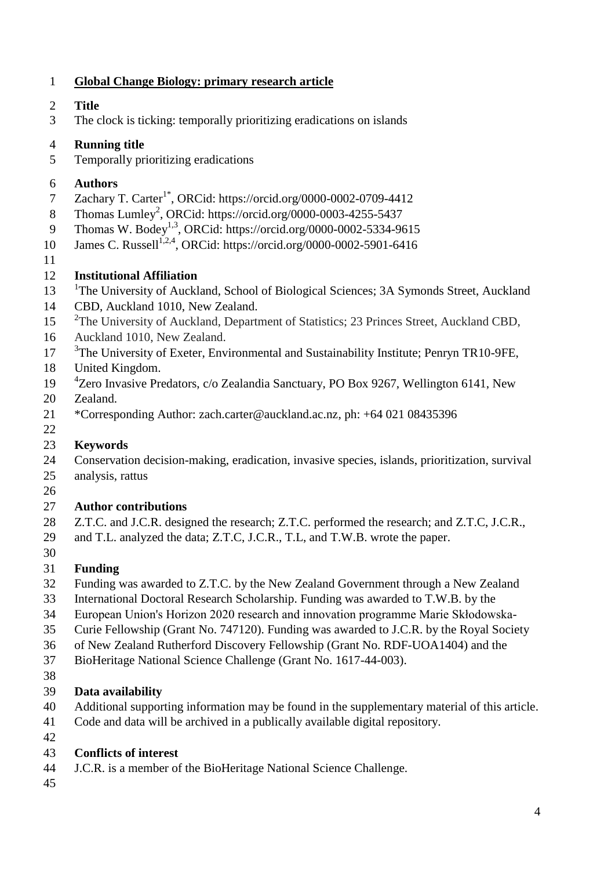## **Global Change Biology: primary research article**

- **Title**
- The clock is ticking: temporally prioritizing eradications on islands

## **Running title**

Temporally prioritizing eradications

## **Authors**

- 7 Zachary T. Carter<sup>1\*</sup>, ORCid: https://orcid.org/0000-0002-0709-4412
- 8 Thomas Lumley<sup>2</sup>, ORCid: https://orcid.org/0000-0003-4255-5437
- 9 Thomas W. Bodey<sup>1,3</sup>, ORCid: https://orcid.org/0000-0002-5334-9615
- 10 James C. Russell<sup>1,2,4</sup>, ORCid: https://orcid.org/0000-0002-5901-6416
- 

## **Institutional Affiliation**

- <sup>1</sup>The University of Auckland, School of Biological Sciences; 3A Symonds Street, Auckland
- CBD, Auckland 1010, New Zealand.
- <sup>2</sup>The University of Auckland, Department of Statistics; 23 Princes Street, Auckland CBD,
- Auckland 1010, New Zealand.
- <sup>3</sup>The University of Exeter, Environmental and Sustainability Institute; Penryn TR10-9FE,
- United Kingdom.
- 4 Zero Invasive Predators, c/o Zealandia Sanctuary, PO Box 9267, Wellington 6141, New
- Zealand.
- \*Corresponding Author: zach.carter@auckland.ac.nz, ph: +64 021 08435396

#### **Keywords**

 Conservation decision-making, eradication, invasive species, islands, prioritization, survival analysis, rattus

## **Author contributions**

- 28 Z.T.C. and J.C.R. designed the research; Z.T.C. performed the research; and Z.T.C, J.C.R.,
- and T.L. analyzed the data; Z.T.C, J.C.R., T.L, and T.W.B. wrote the paper.
- 

## **Funding**

- Funding was awarded to Z.T.C. by the New Zealand Government through a New Zealand
- International Doctoral Research Scholarship. Funding was awarded to T.W.B. by the
- European Union's Horizon 2020 research and innovation programme Marie Skłodowska-
- Curie Fellowship (Grant No. 747120). Funding was awarded to J.C.R. by the Royal Society
- of New Zealand Rutherford Discovery Fellowship (Grant No. RDF-UOA1404) and the
- BioHeritage National Science Challenge (Grant No. 1617-44-003).
- 

## **Data availability**

- Additional supporting information may be found in the supplementary material of this article.
- Code and data will be archived in a publically available digital repository.
- 

## **Conflicts of interest**

- J.C.R. is a member of the BioHeritage National Science Challenge.
-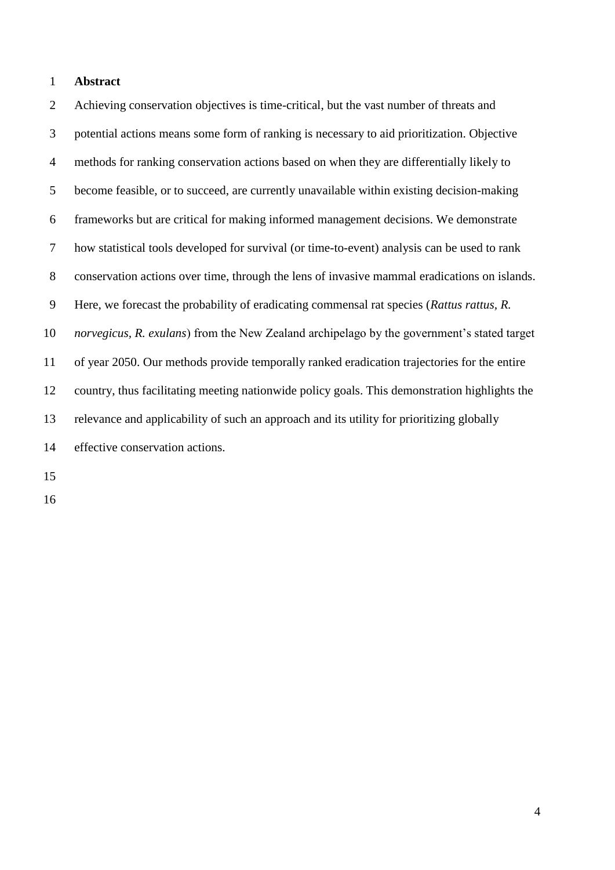#### **Abstract**

 Achieving conservation objectives is time-critical, but the vast number of threats and potential actions means some form of ranking is necessary to aid prioritization. Objective methods for ranking conservation actions based on when they are differentially likely to become feasible, or to succeed, are currently unavailable within existing decision-making frameworks but are critical for making informed management decisions. We demonstrate how statistical tools developed for survival (or time-to-event) analysis can be used to rank conservation actions over time, through the lens of invasive mammal eradications on islands. Here, we forecast the probability of eradicating commensal rat species (*Rattus rattus, R. norvegicus, R. exulans*) from the New Zealand archipelago by the government's stated target of year 2050. Our methods provide temporally ranked eradication trajectories for the entire country, thus facilitating meeting nationwide policy goals. This demonstration highlights the relevance and applicability of such an approach and its utility for prioritizing globally effective conservation actions.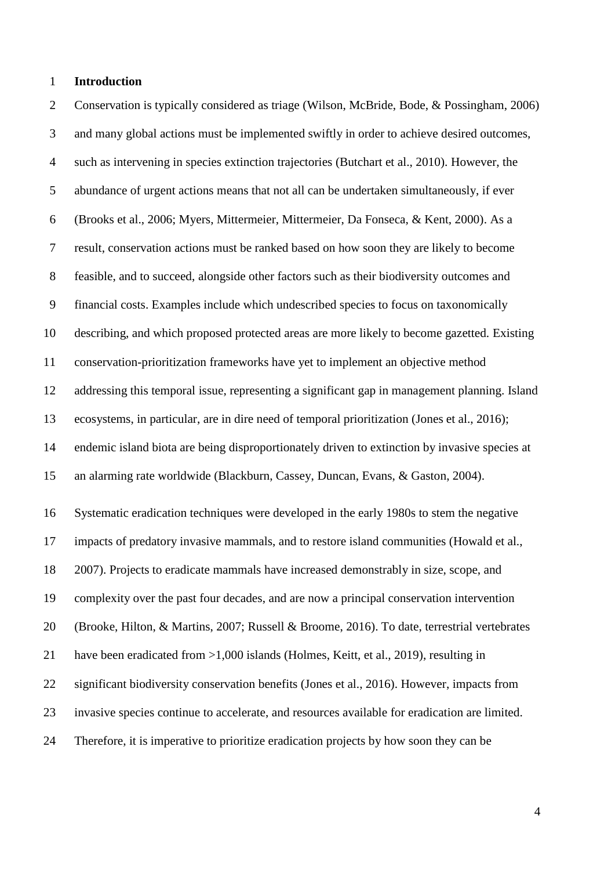#### **Introduction**

 Conservation is typically considered as triage (Wilson, McBride, Bode, & Possingham, 2006) and many global actions must be implemented swiftly in order to achieve desired outcomes, such as intervening in species extinction trajectories (Butchart et al., 2010). However, the abundance of urgent actions means that not all can be undertaken simultaneously, if ever (Brooks et al., 2006; Myers, Mittermeier, Mittermeier, Da Fonseca, & Kent, 2000). As a result, conservation actions must be ranked based on how soon they are likely to become feasible, and to succeed, alongside other factors such as their biodiversity outcomes and financial costs. Examples include which undescribed species to focus on taxonomically describing, and which proposed protected areas are more likely to become gazetted. Existing conservation-prioritization frameworks have yet to implement an objective method addressing this temporal issue, representing a significant gap in management planning. Island ecosystems, in particular, are in dire need of temporal prioritization (Jones et al., 2016); endemic island biota are being disproportionately driven to extinction by invasive species at an alarming rate worldwide (Blackburn, Cassey, Duncan, Evans, & Gaston, 2004). Systematic eradication techniques were developed in the early 1980s to stem the negative impacts of predatory invasive mammals, and to restore island communities (Howald et al., 2007). Projects to eradicate mammals have increased demonstrably in size, scope, and complexity over the past four decades, and are now a principal conservation intervention (Brooke, Hilton, & Martins, 2007; Russell & Broome, 2016). To date, terrestrial vertebrates 21 have been eradicated from >1,000 islands (Holmes, Keitt, et al., 2019), resulting in significant biodiversity conservation benefits (Jones et al., 2016). However, impacts from invasive species continue to accelerate, and resources available for eradication are limited. Therefore, it is imperative to prioritize eradication projects by how soon they can be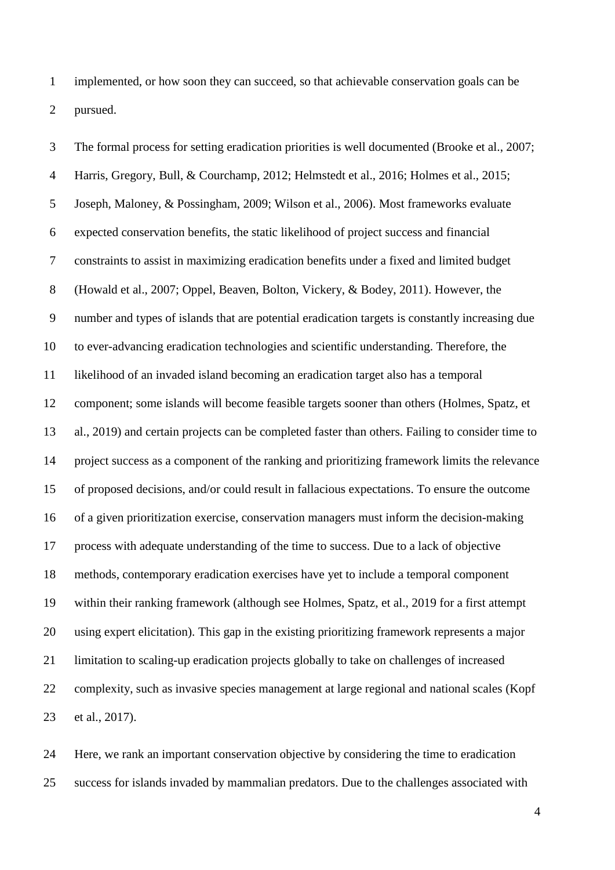implemented, or how soon they can succeed, so that achievable conservation goals can be pursued.

 The formal process for setting eradication priorities is well documented (Brooke et al., 2007; Harris, Gregory, Bull, & Courchamp, 2012; Helmstedt et al., 2016; Holmes et al., 2015; Joseph, Maloney, & Possingham, 2009; Wilson et al., 2006). Most frameworks evaluate expected conservation benefits, the static likelihood of project success and financial constraints to assist in maximizing eradication benefits under a fixed and limited budget (Howald et al., 2007; Oppel, Beaven, Bolton, Vickery, & Bodey, 2011). However, the number and types of islands that are potential eradication targets is constantly increasing due to ever-advancing eradication technologies and scientific understanding. Therefore, the likelihood of an invaded island becoming an eradication target also has a temporal component; some islands will become feasible targets sooner than others (Holmes, Spatz, et al., 2019) and certain projects can be completed faster than others. Failing to consider time to project success as a component of the ranking and prioritizing framework limits the relevance of proposed decisions, and/or could result in fallacious expectations. To ensure the outcome of a given prioritization exercise, conservation managers must inform the decision-making process with adequate understanding of the time to success. Due to a lack of objective methods, contemporary eradication exercises have yet to include a temporal component within their ranking framework (although see Holmes, Spatz, et al., 2019 for a first attempt using expert elicitation). This gap in the existing prioritizing framework represents a major limitation to scaling-up eradication projects globally to take on challenges of increased complexity, such as invasive species management at large regional and national scales (Kopf et al., 2017).

 Here, we rank an important conservation objective by considering the time to eradication success for islands invaded by mammalian predators. Due to the challenges associated with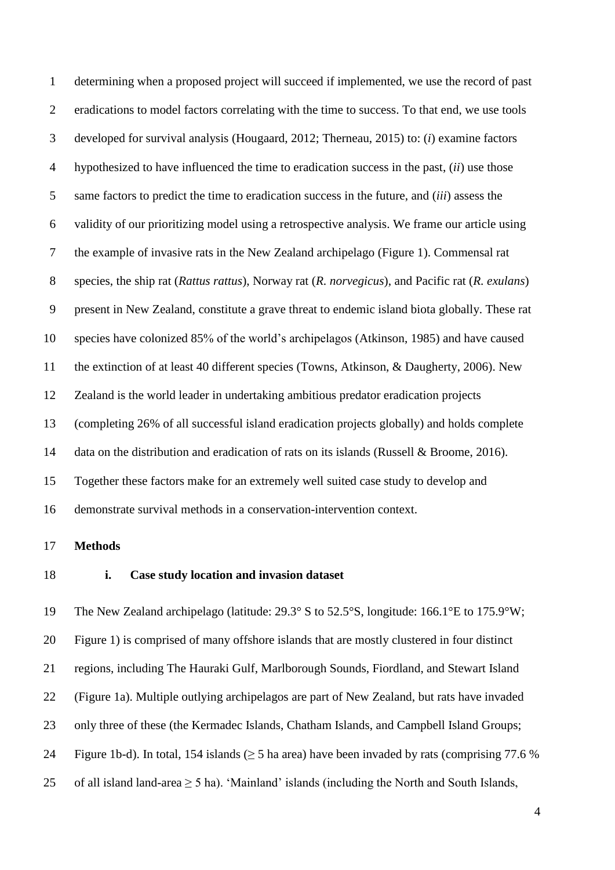determining when a proposed project will succeed if implemented, we use the record of past 2 eradications to model factors correlating with the time to success. To that end, we use tools developed for survival analysis (Hougaard, 2012; Therneau, 2015) to: (*i*) examine factors hypothesized to have influenced the time to eradication success in the past, (*ii*) use those same factors to predict the time to eradication success in the future, and (*iii*) assess the validity of our prioritizing model using a retrospective analysis. We frame our article using the example of invasive rats in the New Zealand archipelago (Figure 1). Commensal rat species, the ship rat (*Rattus rattus*), Norway rat (*R. norvegicus*), and Pacific rat (*R. exulans*) present in New Zealand, constitute a grave threat to endemic island biota globally. These rat species have colonized 85% of the world's archipelagos (Atkinson, 1985) and have caused the extinction of at least 40 different species (Towns, Atkinson, & Daugherty, 2006). New Zealand is the world leader in undertaking ambitious predator eradication projects (completing 26% of all successful island eradication projects globally) and holds complete 14 data on the distribution and eradication of rats on its islands (Russell & Broome, 2016). Together these factors make for an extremely well suited case study to develop and demonstrate survival methods in a conservation-intervention context.

#### **Methods**

#### **i. Case study location and invasion dataset**

 The New Zealand archipelago (latitude: 29.3° S to 52.5°S, longitude: 166.1°E to 175.9°W; Figure 1) is comprised of many offshore islands that are mostly clustered in four distinct regions, including The Hauraki Gulf, Marlborough Sounds, Fiordland, and Stewart Island (Figure 1a). Multiple outlying archipelagos are part of New Zealand, but rats have invaded only three of these (the Kermadec Islands, Chatham Islands, and Campbell Island Groups; 24 Figure 1b-d). In total, 154 islands ( $\geq$  5 ha area) have been invaded by rats (comprising 77.6 % 25 of all island land-area  $\geq$  5 ha). 'Mainland' islands (including the North and South Islands,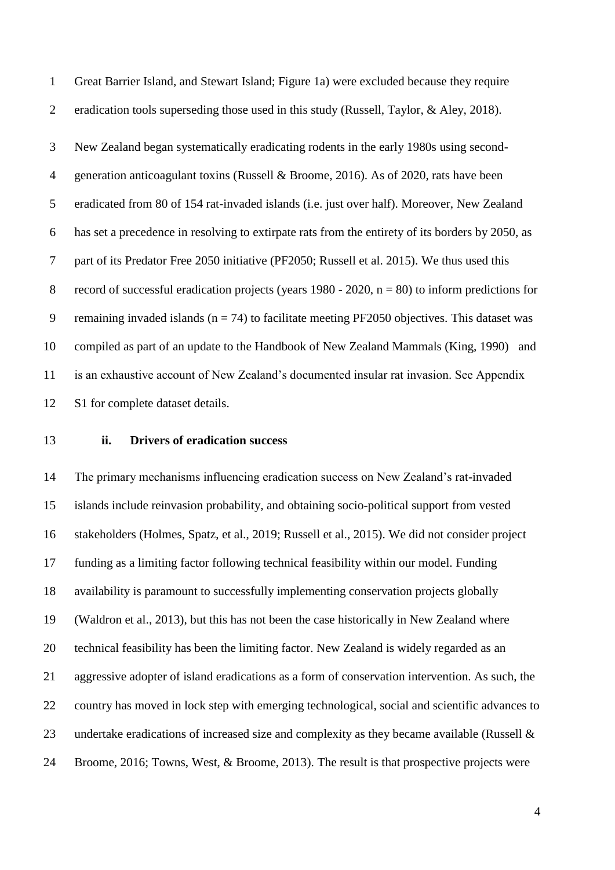Great Barrier Island, and Stewart Island; Figure 1a) were excluded because they require eradication tools superseding those used in this study (Russell, Taylor, & Aley, 2018). New Zealand began systematically eradicating rodents in the early 1980s using second- generation anticoagulant toxins (Russell & Broome, 2016). As of 2020, rats have been eradicated from 80 of 154 rat-invaded islands (i.e. just over half). Moreover, New Zealand has set a precedence in resolving to extirpate rats from the entirety of its borders by 2050, as part of its Predator Free 2050 initiative (PF2050; Russell et al. 2015). We thus used this 8 record of successful eradication projects (years  $1980 - 2020$ ,  $n = 80$ ) to inform predictions for 9 remaining invaded islands ( $n = 74$ ) to facilitate meeting PF2050 objectives. This dataset was compiled as part of an update to the Handbook of New Zealand Mammals (King, 1990) and is an exhaustive account of New Zealand's documented insular rat invasion. See Appendix S1 for complete dataset details.

#### **ii. Drivers of eradication success**

 The primary mechanisms influencing eradication success on New Zealand's rat-invaded islands include reinvasion probability, and obtaining socio-political support from vested stakeholders (Holmes, Spatz, et al., 2019; Russell et al., 2015). We did not consider project funding as a limiting factor following technical feasibility within our model. Funding availability is paramount to successfully implementing conservation projects globally (Waldron et al., 2013), but this has not been the case historically in New Zealand where technical feasibility has been the limiting factor. New Zealand is widely regarded as an aggressive adopter of island eradications as a form of conservation intervention. As such, the country has moved in lock step with emerging technological, social and scientific advances to undertake eradications of increased size and complexity as they became available (Russell & Broome, 2016; Towns, West, & Broome, 2013). The result is that prospective projects were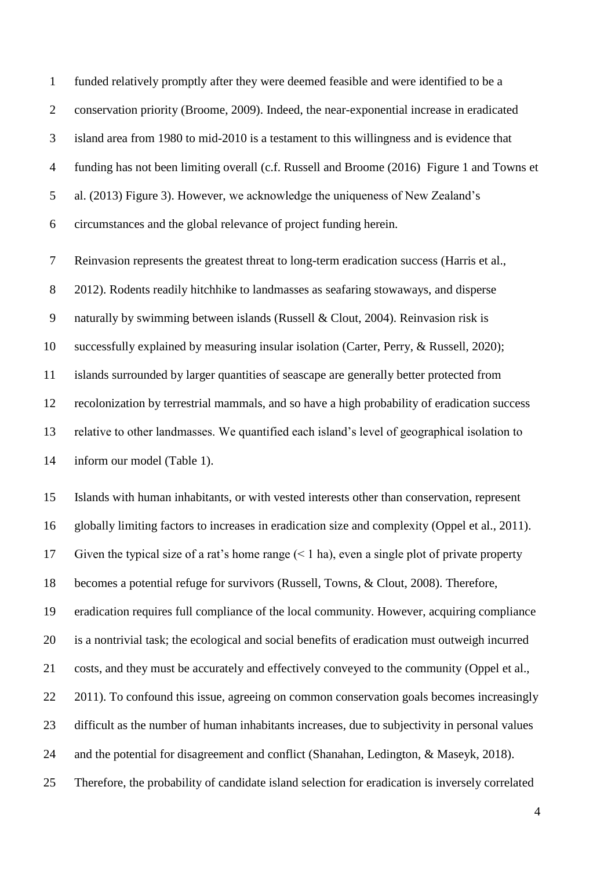funded relatively promptly after they were deemed feasible and were identified to be a conservation priority (Broome, 2009). Indeed, the near-exponential increase in eradicated island area from 1980 to mid-2010 is a testament to this willingness and is evidence that funding has not been limiting overall (c.f. Russell and Broome (2016) Figure 1 and Towns et al. (2013) Figure 3). However, we acknowledge the uniqueness of New Zealand's circumstances and the global relevance of project funding herein.

 Reinvasion represents the greatest threat to long-term eradication success (Harris et al., 2012). Rodents readily hitchhike to landmasses as seafaring stowaways, and disperse naturally by swimming between islands (Russell & Clout, 2004). Reinvasion risk is successfully explained by measuring insular isolation (Carter, Perry, & Russell, 2020); islands surrounded by larger quantities of seascape are generally better protected from recolonization by terrestrial mammals, and so have a high probability of eradication success relative to other landmasses. We quantified each island's level of geographical isolation to inform our model (Table 1).

 Islands with human inhabitants, or with vested interests other than conservation, represent globally limiting factors to increases in eradication size and complexity (Oppel et al., 2011). Given the typical size of a rat's home range (< 1 ha), even a single plot of private property becomes a potential refuge for survivors (Russell, Towns, & Clout, 2008). Therefore, eradication requires full compliance of the local community. However, acquiring compliance is a nontrivial task; the ecological and social benefits of eradication must outweigh incurred costs, and they must be accurately and effectively conveyed to the community (Oppel et al., 22 2011). To confound this issue, agreeing on common conservation goals becomes increasingly difficult as the number of human inhabitants increases, due to subjectivity in personal values and the potential for disagreement and conflict (Shanahan, Ledington, & Maseyk, 2018). Therefore, the probability of candidate island selection for eradication is inversely correlated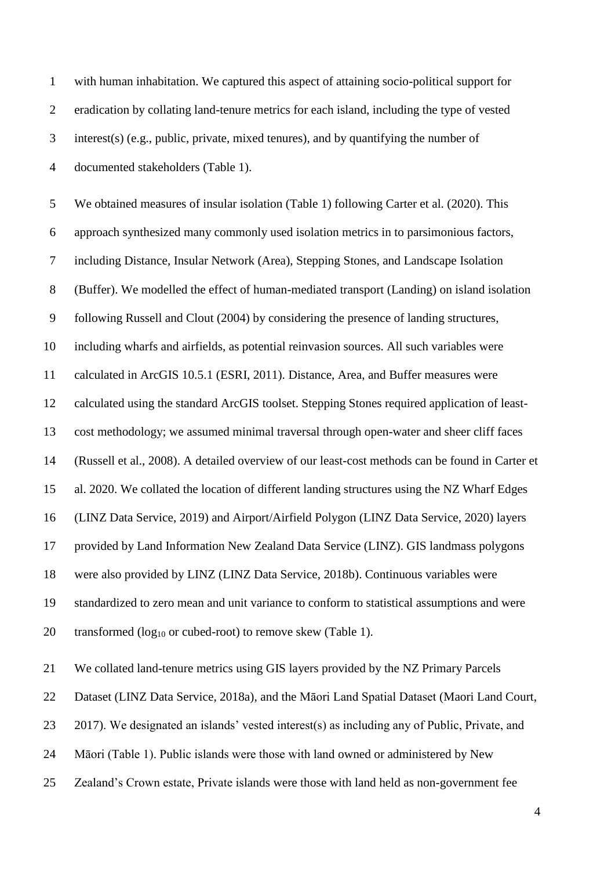| $\mathbf{1}$   | with human inhabitation. We captured this aspect of attaining socio-political support for       |
|----------------|-------------------------------------------------------------------------------------------------|
| $\overline{2}$ | eradication by collating land-tenure metrics for each island, including the type of vested      |
| 3              | interest(s) (e.g., public, private, mixed tenures), and by quantifying the number of            |
| $\overline{4}$ | documented stakeholders (Table 1).                                                              |
| 5              | We obtained measures of insular isolation (Table 1) following Carter et al. (2020). This        |
| 6              | approach synthesized many commonly used isolation metrics in to parsimonious factors,           |
| $\tau$         | including Distance, Insular Network (Area), Stepping Stones, and Landscape Isolation            |
| $8\,$          | (Buffer). We modelled the effect of human-mediated transport (Landing) on island isolation      |
| $\mathbf{9}$   | following Russell and Clout (2004) by considering the presence of landing structures,           |
| 10             | including wharfs and airfields, as potential reinvasion sources. All such variables were        |
| 11             | calculated in ArcGIS 10.5.1 (ESRI, 2011). Distance, Area, and Buffer measures were              |
| 12             | calculated using the standard ArcGIS toolset. Stepping Stones required application of least-    |
| 13             | cost methodology; we assumed minimal traversal through open-water and sheer cliff faces         |
| 14             | (Russell et al., 2008). A detailed overview of our least-cost methods can be found in Carter et |
| 15             | al. 2020. We collated the location of different landing structures using the NZ Wharf Edges     |
| 16             | (LINZ Data Service, 2019) and Airport/Airfield Polygon (LINZ Data Service, 2020) layers         |
| 17             | provided by Land Information New Zealand Data Service (LINZ). GIS landmass polygons             |
| 18             | were also provided by LINZ (LINZ Data Service, 2018b). Continuous variables were                |
| 19             | standardized to zero mean and unit variance to conform to statistical assumptions and were      |
| 20             | transformed $(log_{10}$ or cubed-root) to remove skew (Table 1).                                |
| 21             | We collated land-tenure metrics using GIS layers provided by the NZ Primary Parcels             |
| 22             | Dataset (LINZ Data Service, 2018a), and the Māori Land Spatial Dataset (Maori Land Court,       |
| 23             | 2017). We designated an islands' vested interest(s) as including any of Public, Private, and    |
| 24             | Māori (Table 1). Public islands were those with land owned or administered by New               |
| 25             | Zealand's Crown estate, Private islands were those with land held as non-government fee         |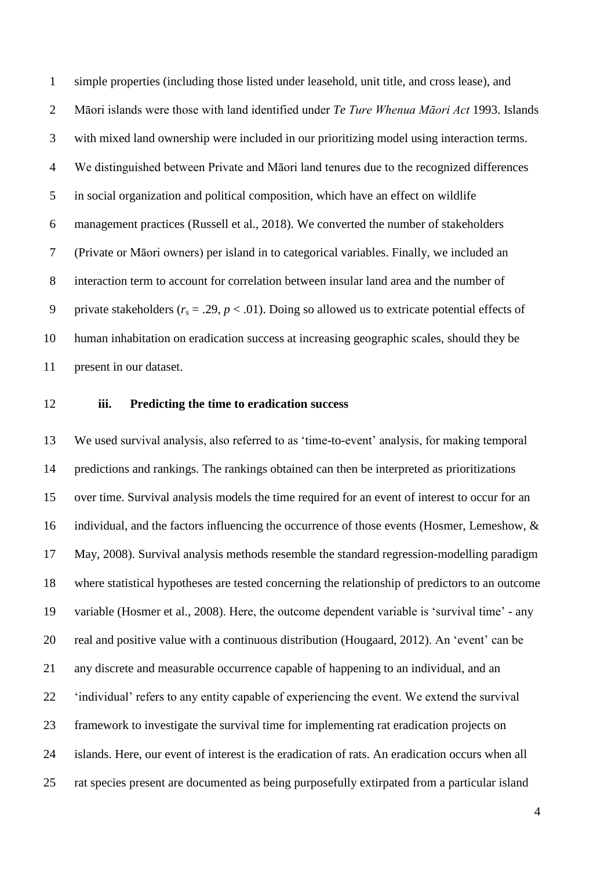simple properties (including those listed under leasehold, unit title, and cross lease), and Māori islands were those with land identified under *Te Ture Whenua Māori Act* 1993. Islands with mixed land ownership were included in our prioritizing model using interaction terms. We distinguished between Private and Māori land tenures due to the recognized differences in social organization and political composition, which have an effect on wildlife management practices (Russell et al., 2018). We converted the number of stakeholders (Private or Māori owners) per island in to categorical variables. Finally, we included an interaction term to account for correlation between insular land area and the number of 9 private stakeholders  $(r_s = .29, p < .01)$ . Doing so allowed us to extricate potential effects of human inhabitation on eradication success at increasing geographic scales, should they be present in our dataset.

### **iii. Predicting the time to eradication success**

 We used survival analysis, also referred to as 'time-to-event' analysis, for making temporal predictions and rankings. The rankings obtained can then be interpreted as prioritizations over time. Survival analysis models the time required for an event of interest to occur for an individual, and the factors influencing the occurrence of those events (Hosmer, Lemeshow, & May, 2008). Survival analysis methods resemble the standard regression-modelling paradigm where statistical hypotheses are tested concerning the relationship of predictors to an outcome variable (Hosmer et al., 2008). Here, the outcome dependent variable is 'survival time' - any real and positive value with a continuous distribution (Hougaard, 2012). An 'event' can be any discrete and measurable occurrence capable of happening to an individual, and an 'individual' refers to any entity capable of experiencing the event. We extend the survival framework to investigate the survival time for implementing rat eradication projects on islands. Here, our event of interest is the eradication of rats. An eradication occurs when all rat species present are documented as being purposefully extirpated from a particular island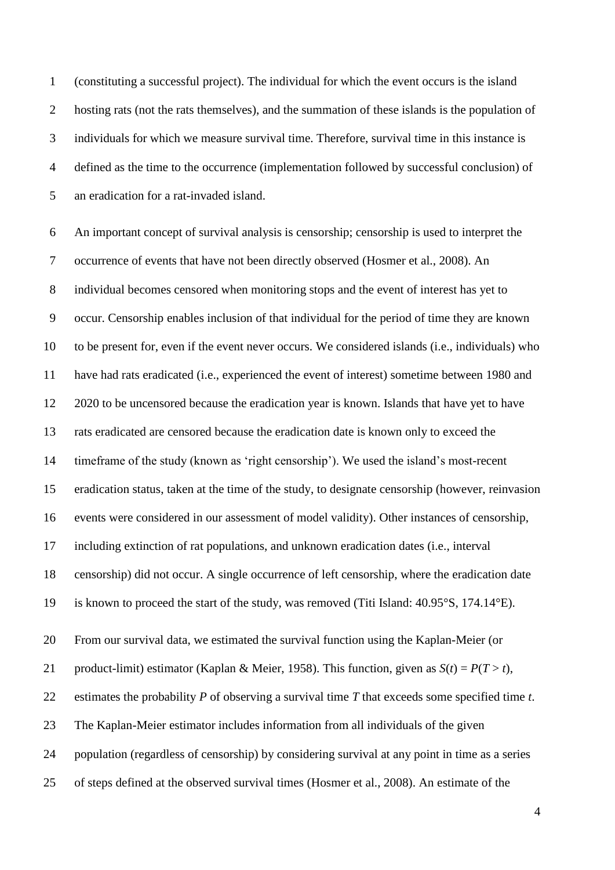(constituting a successful project). The individual for which the event occurs is the island hosting rats (not the rats themselves), and the summation of these islands is the population of individuals for which we measure survival time. Therefore, survival time in this instance is defined as the time to the occurrence (implementation followed by successful conclusion) of an eradication for a rat-invaded island.

 An important concept of survival analysis is censorship; censorship is used to interpret the occurrence of events that have not been directly observed (Hosmer et al., 2008). An individual becomes censored when monitoring stops and the event of interest has yet to occur. Censorship enables inclusion of that individual for the period of time they are known to be present for, even if the event never occurs. We considered islands (i.e., individuals) who have had rats eradicated (i.e., experienced the event of interest) sometime between 1980 and 2020 to be uncensored because the eradication year is known. Islands that have yet to have rats eradicated are censored because the eradication date is known only to exceed the timeframe of the study (known as 'right censorship'). We used the island's most-recent eradication status, taken at the time of the study, to designate censorship (however, reinvasion events were considered in our assessment of model validity). Other instances of censorship, including extinction of rat populations, and unknown eradication dates (i.e., interval censorship) did not occur. A single occurrence of left censorship, where the eradication date is known to proceed the start of the study, was removed (Titi Island: 40.95°S, 174.14°E). From our survival data, we estimated the survival function using the Kaplan-Meier (or 21 product-limit) estimator (Kaplan & Meier, 1958). This function, given as  $S(t) = P(T > t)$ , estimates the probability *P* of observing a survival time *T* that exceeds some specified time *t*. The Kaplan-Meier estimator includes information from all individuals of the given population (regardless of censorship) by considering survival at any point in time as a series of steps defined at the observed survival times (Hosmer et al., 2008). An estimate of the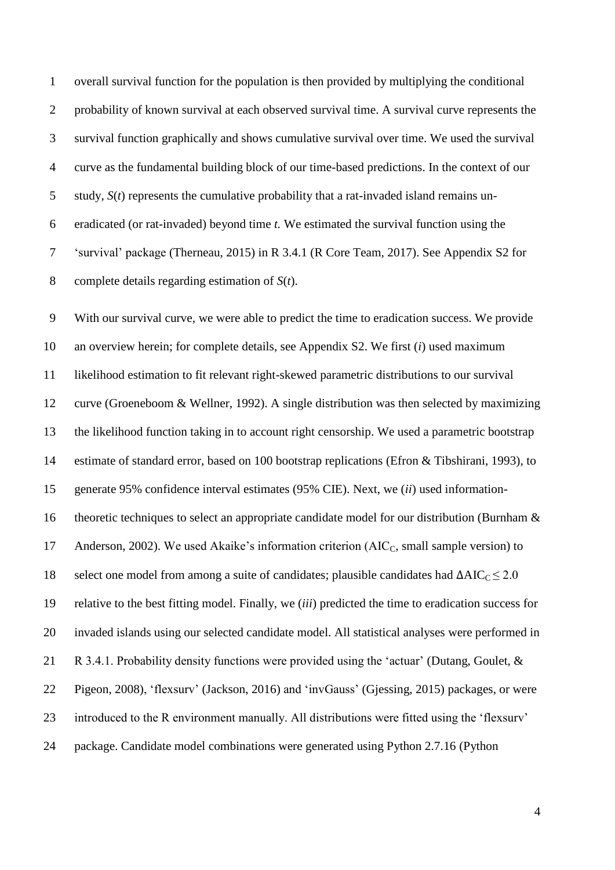overall survival function for the population is then provided by multiplying the conditional 2 probability of known survival at each observed survival time. A survival curve represents the survival function graphically and shows cumulative survival over time. We used the survival curve as the fundamental building block of our time-based predictions. In the context of our study, *S*(*t*) represents the cumulative probability that a rat-invaded island remains un- eradicated (or rat-invaded) beyond time *t.* We estimated the survival function using the 'survival' package (Therneau, 2015) in R 3.4.1 (R Core Team, 2017). See Appendix S2 for complete details regarding estimation of *S*(*t*).

 With our survival curve, we were able to predict the time to eradication success. We provide an overview herein; for complete details, see Appendix S2. We first (*i*) used maximum likelihood estimation to fit relevant right-skewed parametric distributions to our survival curve (Groeneboom & Wellner, 1992). A single distribution was then selected by maximizing the likelihood function taking in to account right censorship. We used a parametric bootstrap estimate of standard error, based on 100 bootstrap replications (Efron & Tibshirani, 1993), to generate 95% confidence interval estimates (95% CIE). Next, we (*ii*) used information- theoretic techniques to select an appropriate candidate model for our distribution (Burnham & 17 Anderson, 2002). We used Akaike's information criterion (AIC<sub>C</sub>, small sample version) to 18 select one model from among a suite of candidates; plausible candidates had  $\Delta AIC_C \leq 2.0$  relative to the best fitting model. Finally, we (*iii*) predicted the time to eradication success for invaded islands using our selected candidate model. All statistical analyses were performed in R 3.4.1. Probability density functions were provided using the 'actuar' (Dutang, Goulet, & Pigeon, 2008), 'flexsurv' (Jackson, 2016) and 'invGauss' (Gjessing, 2015) packages, or were introduced to the R environment manually. All distributions were fitted using the 'flexsurv' package. Candidate model combinations were generated using Python 2.7.16 (Python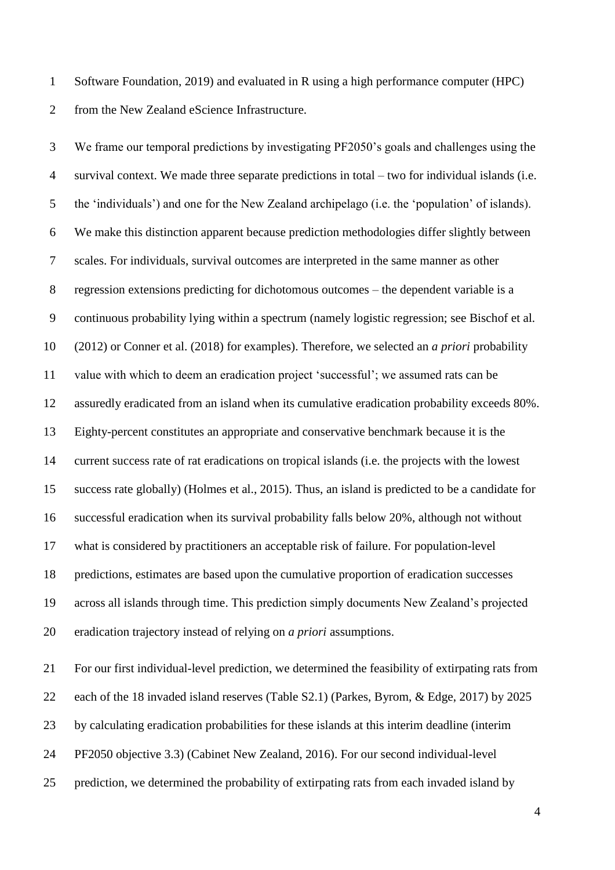Software Foundation, 2019) and evaluated in R using a high performance computer (HPC) from the New Zealand eScience Infrastructure.

 We frame our temporal predictions by investigating PF2050's goals and challenges using the survival context. We made three separate predictions in total – two for individual islands (i.e. the 'individuals') and one for the New Zealand archipelago (i.e. the 'population' of islands). We make this distinction apparent because prediction methodologies differ slightly between scales. For individuals, survival outcomes are interpreted in the same manner as other regression extensions predicting for dichotomous outcomes – the dependent variable is a continuous probability lying within a spectrum (namely logistic regression; see Bischof et al. (2012) or Conner et al. (2018) for examples). Therefore, we selected an *a priori* probability value with which to deem an eradication project 'successful'; we assumed rats can be assuredly eradicated from an island when its cumulative eradication probability exceeds 80%. Eighty-percent constitutes an appropriate and conservative benchmark because it is the current success rate of rat eradications on tropical islands (i.e. the projects with the lowest success rate globally) (Holmes et al., 2015). Thus, an island is predicted to be a candidate for successful eradication when its survival probability falls below 20%, although not without what is considered by practitioners an acceptable risk of failure. For population-level predictions, estimates are based upon the cumulative proportion of eradication successes across all islands through time. This prediction simply documents New Zealand's projected eradication trajectory instead of relying on *a priori* assumptions.

 For our first individual-level prediction, we determined the feasibility of extirpating rats from each of the 18 invaded island reserves (Table S2.1) (Parkes, Byrom, & Edge, 2017) by 2025 by calculating eradication probabilities for these islands at this interim deadline (interim PF2050 objective 3.3) (Cabinet New Zealand, 2016). For our second individual-level prediction, we determined the probability of extirpating rats from each invaded island by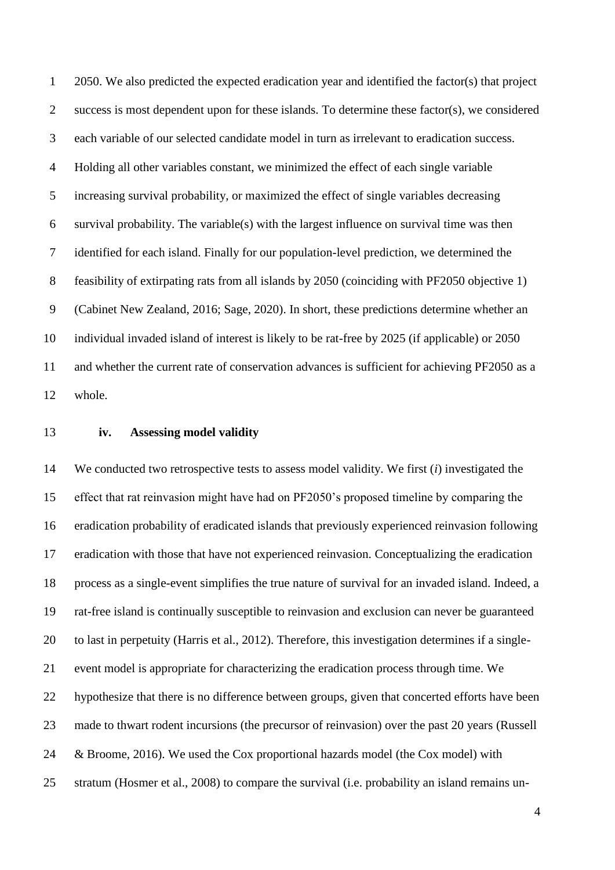2050. We also predicted the expected eradication year and identified the factor(s) that project success is most dependent upon for these islands. To determine these factor(s), we considered each variable of our selected candidate model in turn as irrelevant to eradication success. Holding all other variables constant, we minimized the effect of each single variable increasing survival probability, or maximized the effect of single variables decreasing survival probability. The variable(s) with the largest influence on survival time was then identified for each island. Finally for our population-level prediction, we determined the feasibility of extirpating rats from all islands by 2050 (coinciding with PF2050 objective 1) (Cabinet New Zealand, 2016; Sage, 2020). In short, these predictions determine whether an individual invaded island of interest is likely to be rat-free by 2025 (if applicable) or 2050 and whether the current rate of conservation advances is sufficient for achieving PF2050 as a whole.

#### **iv. Assessing model validity**

 We conducted two retrospective tests to assess model validity. We first (*i*) investigated the effect that rat reinvasion might have had on PF2050's proposed timeline by comparing the eradication probability of eradicated islands that previously experienced reinvasion following eradication with those that have not experienced reinvasion. Conceptualizing the eradication process as a single-event simplifies the true nature of survival for an invaded island. Indeed, a rat-free island is continually susceptible to reinvasion and exclusion can never be guaranteed to last in perpetuity (Harris et al., 2012). Therefore, this investigation determines if a single- event model is appropriate for characterizing the eradication process through time. We hypothesize that there is no difference between groups, given that concerted efforts have been made to thwart rodent incursions (the precursor of reinvasion) over the past 20 years (Russell & Broome, 2016). We used the Cox proportional hazards model (the Cox model) with stratum (Hosmer et al., 2008) to compare the survival (i.e. probability an island remains un-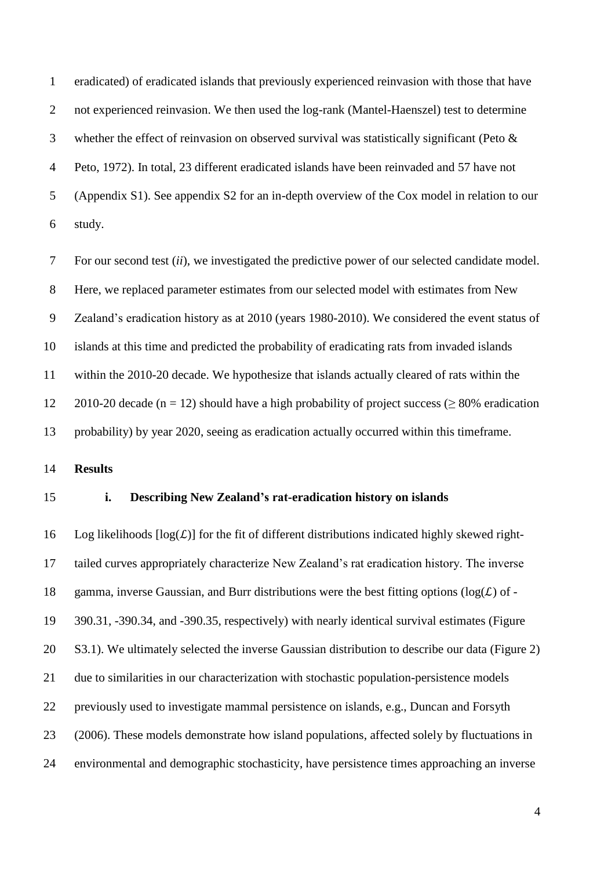eradicated) of eradicated islands that previously experienced reinvasion with those that have 2 not experienced reinvasion. We then used the log-rank (Mantel-Haenszel) test to determine whether the effect of reinvasion on observed survival was statistically significant (Peto & Peto, 1972). In total, 23 different eradicated islands have been reinvaded and 57 have not (Appendix S1). See appendix S2 for an in-depth overview of the Cox model in relation to our study.

 For our second test (*ii*), we investigated the predictive power of our selected candidate model. Here, we replaced parameter estimates from our selected model with estimates from New Zealand's eradication history as at 2010 (years 1980-2010). We considered the event status of islands at this time and predicted the probability of eradicating rats from invaded islands within the 2010-20 decade. We hypothesize that islands actually cleared of rats within the 12 2010-20 decade (n = 12) should have a high probability of project success ( $> 80\%$  eradication probability) by year 2020, seeing as eradication actually occurred within this timeframe.

**Results**

## **i. Describing New Zealand's rat-eradication history on islands**

16 Log likelihoods  $[\log(L)]$  for the fit of different distributions indicated highly skewed right- tailed curves appropriately characterize New Zealand's rat eradication history. The inverse 18 gamma, inverse Gaussian, and Burr distributions were the best fitting options ( $log(L)$  of - 390.31, -390.34, and -390.35, respectively) with nearly identical survival estimates (Figure S3.1). We ultimately selected the inverse Gaussian distribution to describe our data (Figure 2) due to similarities in our characterization with stochastic population-persistence models previously used to investigate mammal persistence on islands, e.g., Duncan and Forsyth (2006). These models demonstrate how island populations, affected solely by fluctuations in environmental and demographic stochasticity, have persistence times approaching an inverse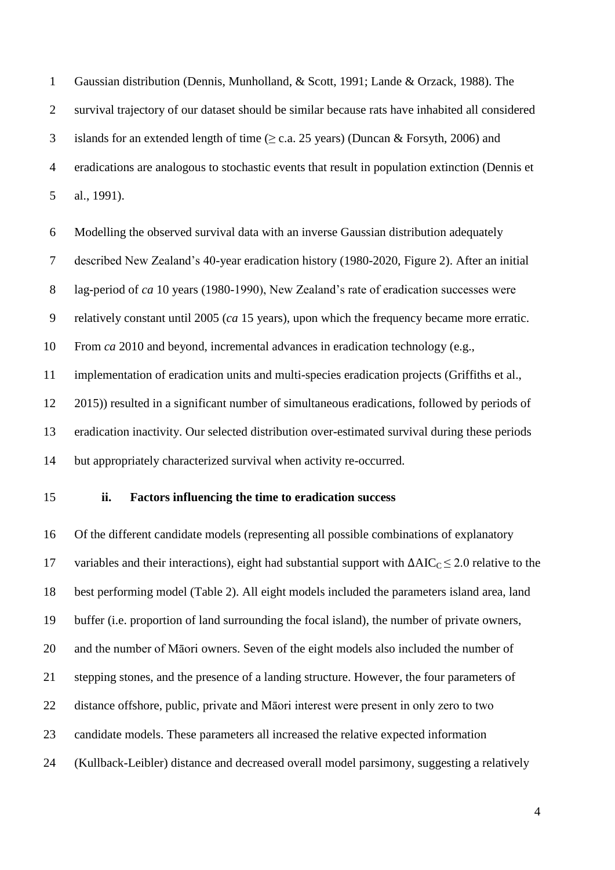Gaussian distribution (Dennis, Munholland, & Scott, 1991; Lande & Orzack, 1988). The survival trajectory of our dataset should be similar because rats have inhabited all considered 3 islands for an extended length of time  $(\geq c.a. 25 \text{ years})$  (Duncan & Forsyth, 2006) and eradications are analogous to stochastic events that result in population extinction (Dennis et al., 1991).

 Modelling the observed survival data with an inverse Gaussian distribution adequately described New Zealand's 40-year eradication history (1980-2020, Figure 2). After an initial lag-period of *ca* 10 years (1980-1990), New Zealand's rate of eradication successes were relatively constant until 2005 (*ca* 15 years), upon which the frequency became more erratic. From *ca* 2010 and beyond, incremental advances in eradication technology (e.g., implementation of eradication units and multi-species eradication projects (Griffiths et al., 2015)) resulted in a significant number of simultaneous eradications, followed by periods of eradication inactivity. Our selected distribution over-estimated survival during these periods but appropriately characterized survival when activity re-occurred.

#### **ii. Factors influencing the time to eradication success**

 Of the different candidate models (representing all possible combinations of explanatory 17 variables and their interactions), eight had substantial support with  $\Delta AIC_C \leq 2.0$  relative to the best performing model (Table 2). All eight models included the parameters island area, land buffer (i.e. proportion of land surrounding the focal island), the number of private owners, and the number of Māori owners. Seven of the eight models also included the number of stepping stones, and the presence of a landing structure. However, the four parameters of distance offshore, public, private and Māori interest were present in only zero to two candidate models. These parameters all increased the relative expected information (Kullback-Leibler) distance and decreased overall model parsimony, suggesting a relatively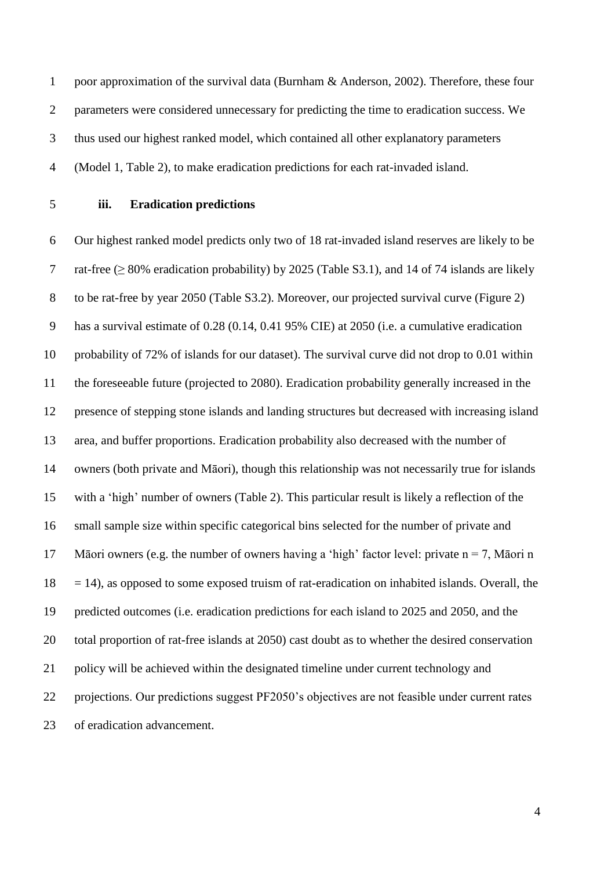poor approximation of the survival data (Burnham & Anderson, 2002). Therefore, these four 2 parameters were considered unnecessary for predicting the time to eradication success. We thus used our highest ranked model, which contained all other explanatory parameters (Model 1, Table 2), to make eradication predictions for each rat-invaded island.

### **iii. Eradication predictions**

 Our highest ranked model predicts only two of 18 rat-invaded island reserves are likely to be 7 rat-free ( $\geq$  80% eradication probability) by 2025 (Table S3.1), and 14 of 74 islands are likely to be rat-free by year 2050 (Table S3.2). Moreover, our projected survival curve (Figure 2) has a survival estimate of 0.28 (0.14, 0.41 95% CIE) at 2050 (i.e. a cumulative eradication probability of 72% of islands for our dataset). The survival curve did not drop to 0.01 within the foreseeable future (projected to 2080). Eradication probability generally increased in the presence of stepping stone islands and landing structures but decreased with increasing island area, and buffer proportions. Eradication probability also decreased with the number of owners (both private and Māori), though this relationship was not necessarily true for islands with a 'high' number of owners (Table 2). This particular result is likely a reflection of the small sample size within specific categorical bins selected for the number of private and 17 Māori owners (e.g. the number of owners having a 'high' factor level: private  $n = 7$ , Māori n  $18 = 14$ ), as opposed to some exposed truism of rat-eradication on inhabited islands. Overall, the predicted outcomes (i.e. eradication predictions for each island to 2025 and 2050, and the total proportion of rat-free islands at 2050) cast doubt as to whether the desired conservation policy will be achieved within the designated timeline under current technology and projections. Our predictions suggest PF2050's objectives are not feasible under current rates of eradication advancement.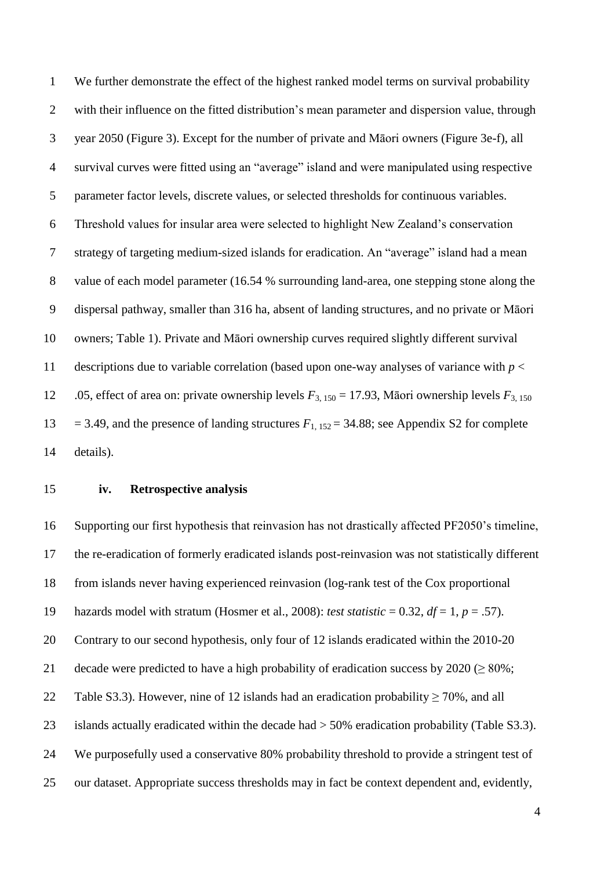We further demonstrate the effect of the highest ranked model terms on survival probability with their influence on the fitted distribution's mean parameter and dispersion value, through year 2050 (Figure 3). Except for the number of private and Māori owners (Figure 3e-f), all survival curves were fitted using an "average" island and were manipulated using respective parameter factor levels, discrete values, or selected thresholds for continuous variables. Threshold values for insular area were selected to highlight New Zealand's conservation strategy of targeting medium-sized islands for eradication. An "average" island had a mean value of each model parameter (16.54 % surrounding land-area, one stepping stone along the dispersal pathway, smaller than 316 ha, absent of landing structures, and no private or Māori owners; Table 1). Private and Māori ownership curves required slightly different survival 11 descriptions due to variable correlation (based upon one-way analyses of variance with  $p <$  .05, effect of area on: private ownership levels *F*3, 150 = 17.93, Māori ownership levels *F*3, 150 13 = 3.49, and the presence of landing structures  $F_{1,152} = 34.88$ ; see Appendix S2 for complete details).

#### **iv. Retrospective analysis**

 Supporting our first hypothesis that reinvasion has not drastically affected PF2050's timeline, the re-eradication of formerly eradicated islands post-reinvasion was not statistically different from islands never having experienced reinvasion (log-rank test of the Cox proportional 19 hazards model with stratum (Hosmer et al., 2008): *test statistic* = 0.32,  $df = 1$ ,  $p = .57$ ). Contrary to our second hypothesis, only four of 12 islands eradicated within the 2010-20 21 decade were predicted to have a high probability of eradication success by  $2020 \ge 80\%$ ; 22 Table S3.3). However, nine of 12 islands had an eradication probability > 70%, and all islands actually eradicated within the decade had > 50% eradication probability (Table S3.3). We purposefully used a conservative 80% probability threshold to provide a stringent test of our dataset. Appropriate success thresholds may in fact be context dependent and, evidently,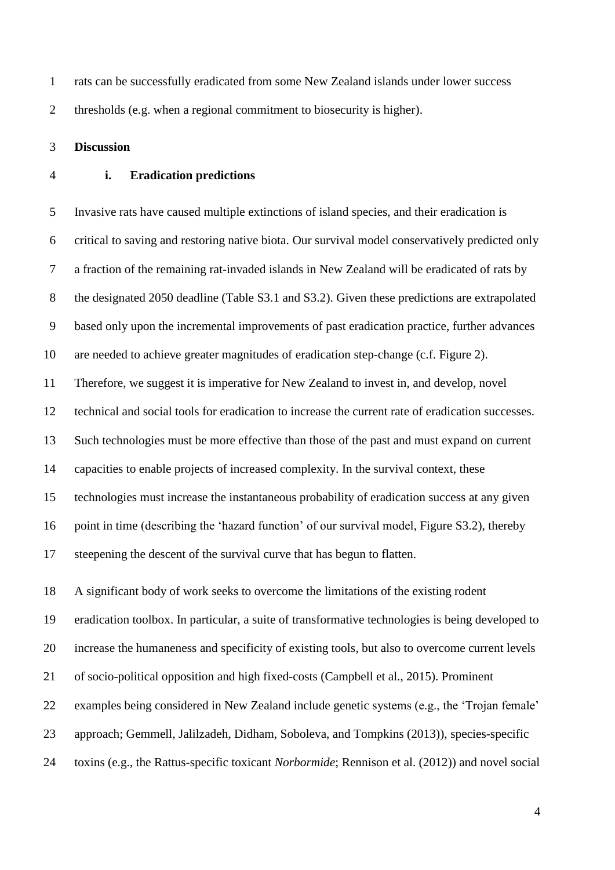rats can be successfully eradicated from some New Zealand islands under lower success thresholds (e.g. when a regional commitment to biosecurity is higher).

**Discussion**

#### **i. Eradication predictions**

 Invasive rats have caused multiple extinctions of island species, and their eradication is critical to saving and restoring native biota. Our survival model conservatively predicted only a fraction of the remaining rat-invaded islands in New Zealand will be eradicated of rats by the designated 2050 deadline (Table S3.1 and S3.2). Given these predictions are extrapolated based only upon the incremental improvements of past eradication practice, further advances are needed to achieve greater magnitudes of eradication step-change (c.f. Figure 2).

Therefore, we suggest it is imperative for New Zealand to invest in, and develop, novel

technical and social tools for eradication to increase the current rate of eradication successes.

Such technologies must be more effective than those of the past and must expand on current

capacities to enable projects of increased complexity. In the survival context, these

technologies must increase the instantaneous probability of eradication success at any given

point in time (describing the 'hazard function' of our survival model, Figure S3.2), thereby

steepening the descent of the survival curve that has begun to flatten.

A significant body of work seeks to overcome the limitations of the existing rodent

eradication toolbox. In particular, a suite of transformative technologies is being developed to

increase the humaneness and specificity of existing tools, but also to overcome current levels

of socio-political opposition and high fixed-costs (Campbell et al., 2015). Prominent

examples being considered in New Zealand include genetic systems (e.g., the 'Trojan female'

approach; Gemmell, Jalilzadeh, Didham, Soboleva, and Tompkins (2013)), species-specific

toxins (e.g., the Rattus-specific toxicant *Norbormide*; Rennison et al. (2012)) and novel social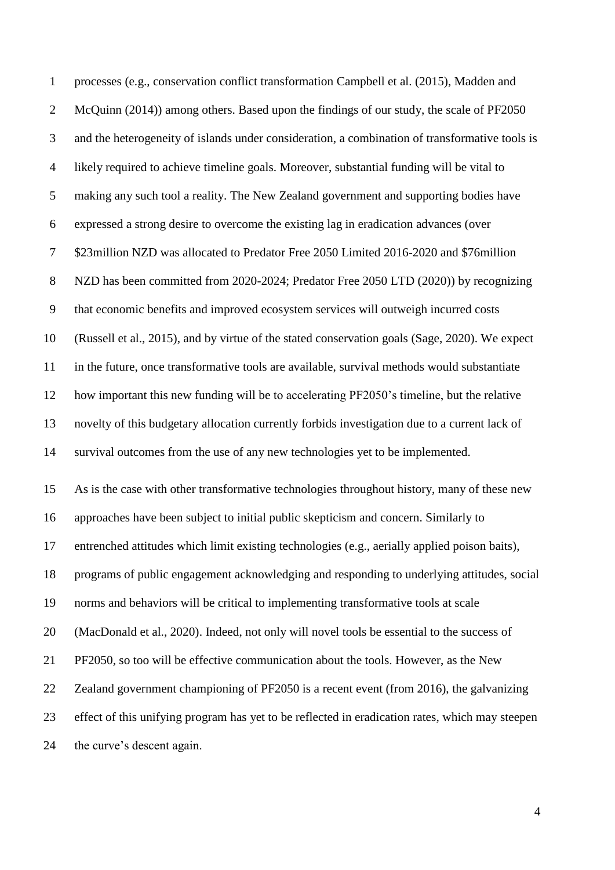processes (e.g., conservation conflict transformation Campbell et al. (2015), Madden and McQuinn (2014)) among others. Based upon the findings of our study, the scale of PF2050 and the heterogeneity of islands under consideration, a combination of transformative tools is likely required to achieve timeline goals. Moreover, substantial funding will be vital to making any such tool a reality. The New Zealand government and supporting bodies have expressed a strong desire to overcome the existing lag in eradication advances (over \$23million NZD was allocated to Predator Free 2050 Limited 2016-2020 and \$76million NZD has been committed from 2020-2024; Predator Free 2050 LTD (2020)) by recognizing that economic benefits and improved ecosystem services will outweigh incurred costs (Russell et al., 2015), and by virtue of the stated conservation goals (Sage, 2020). We expect in the future, once transformative tools are available, survival methods would substantiate how important this new funding will be to accelerating PF2050's timeline, but the relative novelty of this budgetary allocation currently forbids investigation due to a current lack of survival outcomes from the use of any new technologies yet to be implemented. As is the case with other transformative technologies throughout history, many of these new approaches have been subject to initial public skepticism and concern. Similarly to entrenched attitudes which limit existing technologies (e.g., aerially applied poison baits), programs of public engagement acknowledging and responding to underlying attitudes, social norms and behaviors will be critical to implementing transformative tools at scale (MacDonald et al., 2020). Indeed, not only will novel tools be essential to the success of PF2050, so too will be effective communication about the tools. However, as the New Zealand government championing of PF2050 is a recent event (from 2016), the galvanizing effect of this unifying program has yet to be reflected in eradication rates, which may steepen the curve's descent again.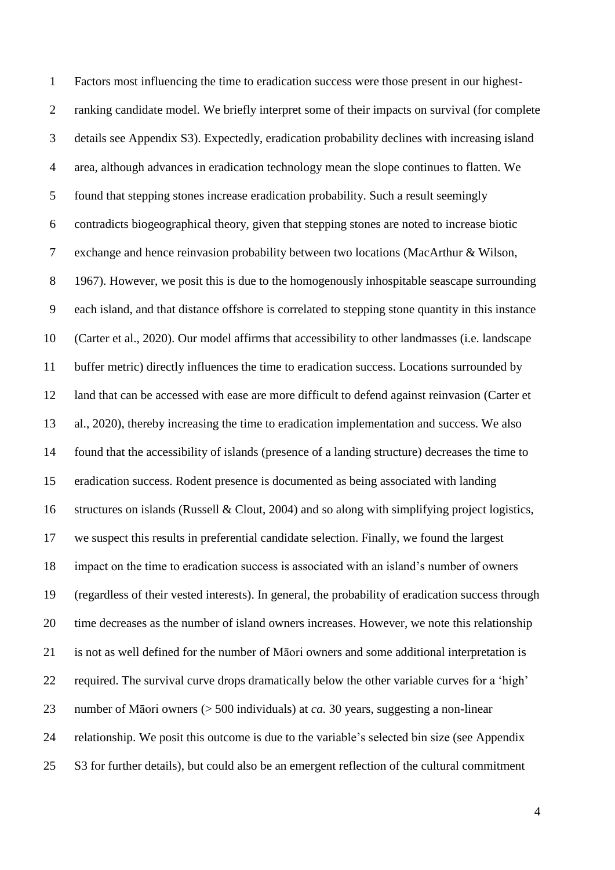Factors most influencing the time to eradication success were those present in our highest- ranking candidate model. We briefly interpret some of their impacts on survival (for complete details see Appendix S3). Expectedly, eradication probability declines with increasing island area, although advances in eradication technology mean the slope continues to flatten. We found that stepping stones increase eradication probability. Such a result seemingly contradicts biogeographical theory, given that stepping stones are noted to increase biotic exchange and hence reinvasion probability between two locations (MacArthur & Wilson, 1967). However, we posit this is due to the homogenously inhospitable seascape surrounding each island, and that distance offshore is correlated to stepping stone quantity in this instance (Carter et al., 2020). Our model affirms that accessibility to other landmasses (i.e. landscape buffer metric) directly influences the time to eradication success. Locations surrounded by land that can be accessed with ease are more difficult to defend against reinvasion (Carter et al., 2020), thereby increasing the time to eradication implementation and success. We also found that the accessibility of islands (presence of a landing structure) decreases the time to eradication success. Rodent presence is documented as being associated with landing structures on islands (Russell & Clout, 2004) and so along with simplifying project logistics, we suspect this results in preferential candidate selection. Finally, we found the largest impact on the time to eradication success is associated with an island's number of owners (regardless of their vested interests). In general, the probability of eradication success through time decreases as the number of island owners increases. However, we note this relationship is not as well defined for the number of Māori owners and some additional interpretation is required. The survival curve drops dramatically below the other variable curves for a 'high' number of Māori owners (> 500 individuals) at *ca.* 30 years, suggesting a non-linear relationship. We posit this outcome is due to the variable's selected bin size (see Appendix S3 for further details), but could also be an emergent reflection of the cultural commitment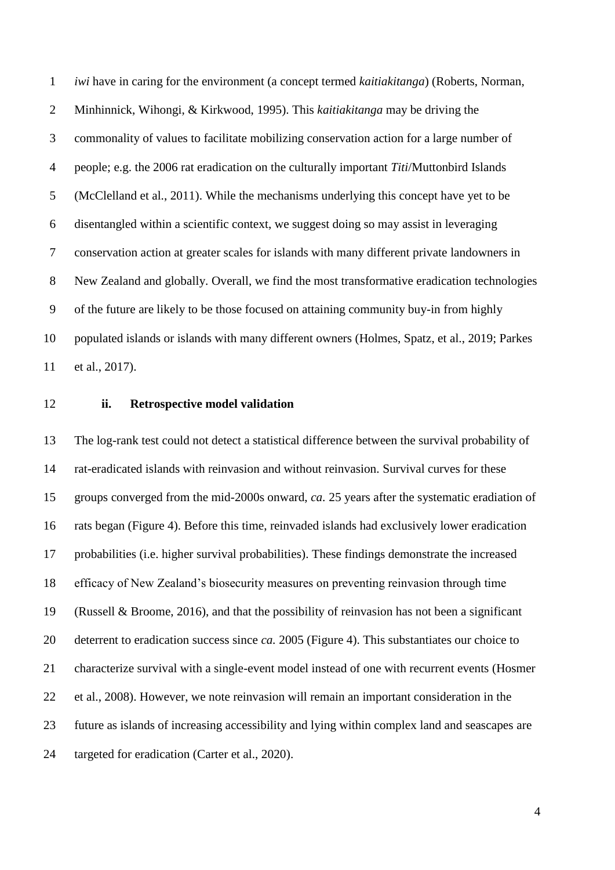*iwi* have in caring for the environment (a concept termed *kaitiakitanga*) (Roberts, Norman, Minhinnick, Wihongi, & Kirkwood, 1995). This *kaitiakitanga* may be driving the commonality of values to facilitate mobilizing conservation action for a large number of people; e.g. the 2006 rat eradication on the culturally important *Titi*/Muttonbird Islands (McClelland et al., 2011). While the mechanisms underlying this concept have yet to be disentangled within a scientific context, we suggest doing so may assist in leveraging conservation action at greater scales for islands with many different private landowners in New Zealand and globally. Overall, we find the most transformative eradication technologies of the future are likely to be those focused on attaining community buy-in from highly populated islands or islands with many different owners (Holmes, Spatz, et al., 2019; Parkes et al., 2017).

#### **ii. Retrospective model validation**

 The log-rank test could not detect a statistical difference between the survival probability of rat-eradicated islands with reinvasion and without reinvasion. Survival curves for these groups converged from the mid-2000s onward, *ca.* 25 years after the systematic eradiation of rats began (Figure 4). Before this time, reinvaded islands had exclusively lower eradication probabilities (i.e. higher survival probabilities). These findings demonstrate the increased efficacy of New Zealand's biosecurity measures on preventing reinvasion through time (Russell & Broome, 2016), and that the possibility of reinvasion has not been a significant deterrent to eradication success since *ca.* 2005 (Figure 4). This substantiates our choice to characterize survival with a single-event model instead of one with recurrent events (Hosmer et al., 2008). However, we note reinvasion will remain an important consideration in the future as islands of increasing accessibility and lying within complex land and seascapes are targeted for eradication (Carter et al., 2020).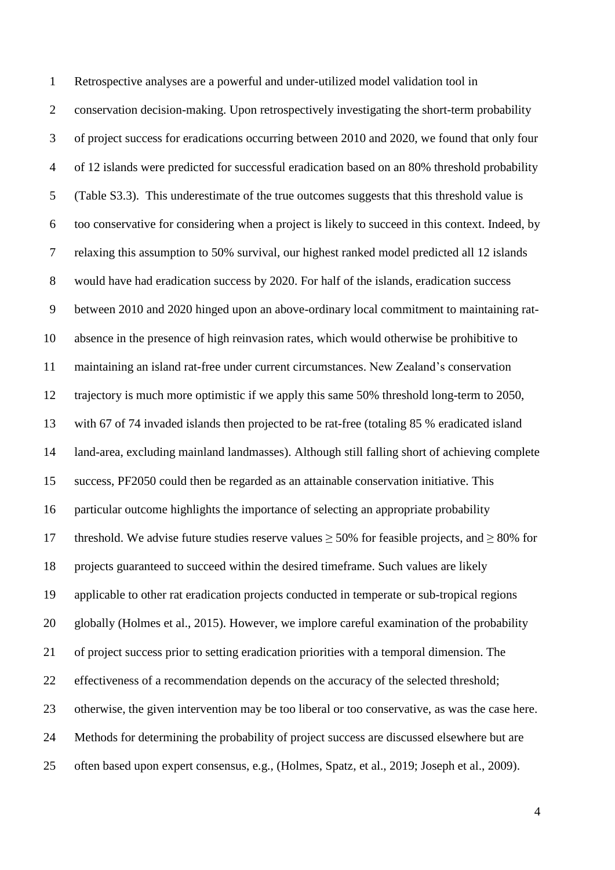Retrospective analyses are a powerful and under-utilized model validation tool in conservation decision-making. Upon retrospectively investigating the short-term probability of project success for eradications occurring between 2010 and 2020, we found that only four of 12 islands were predicted for successful eradication based on an 80% threshold probability (Table S3.3). This underestimate of the true outcomes suggests that this threshold value is too conservative for considering when a project is likely to succeed in this context. Indeed, by relaxing this assumption to 50% survival, our highest ranked model predicted all 12 islands would have had eradication success by 2020. For half of the islands, eradication success between 2010 and 2020 hinged upon an above-ordinary local commitment to maintaining rat- absence in the presence of high reinvasion rates, which would otherwise be prohibitive to maintaining an island rat-free under current circumstances. New Zealand's conservation trajectory is much more optimistic if we apply this same 50% threshold long-term to 2050, with 67 of 74 invaded islands then projected to be rat-free (totaling 85 % eradicated island land-area, excluding mainland landmasses). Although still falling short of achieving complete success, PF2050 could then be regarded as an attainable conservation initiative. This particular outcome highlights the importance of selecting an appropriate probability 17 threshold. We advise future studies reserve values  $\geq$  50% for feasible projects, and  $\geq$  80% for projects guaranteed to succeed within the desired timeframe. Such values are likely applicable to other rat eradication projects conducted in temperate or sub-tropical regions globally (Holmes et al., 2015). However, we implore careful examination of the probability of project success prior to setting eradication priorities with a temporal dimension. The effectiveness of a recommendation depends on the accuracy of the selected threshold; otherwise, the given intervention may be too liberal or too conservative, as was the case here. Methods for determining the probability of project success are discussed elsewhere but are often based upon expert consensus, e.g., (Holmes, Spatz, et al., 2019; Joseph et al., 2009).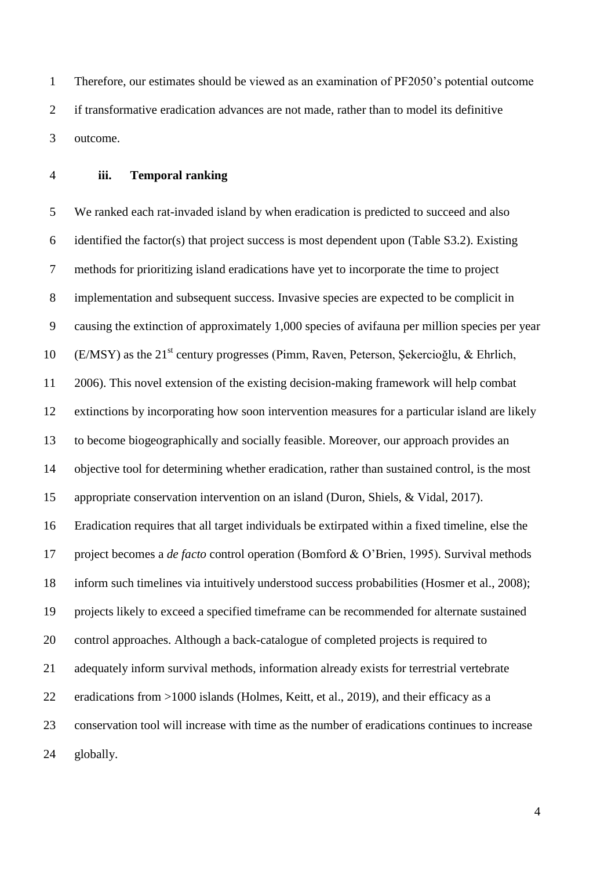Therefore, our estimates should be viewed as an examination of PF2050's potential outcome if transformative eradication advances are not made, rather than to model its definitive outcome.

#### **iii. Temporal ranking**

 We ranked each rat-invaded island by when eradication is predicted to succeed and also identified the factor(s) that project success is most dependent upon (Table S3.2). Existing methods for prioritizing island eradications have yet to incorporate the time to project implementation and subsequent success. Invasive species are expected to be complicit in causing the extinction of approximately 1,000 species of avifauna per million species per year 10 (E/MSY) as the 21<sup>st</sup> century progresses (Pimm, Raven, Peterson, Şekercioğlu, & Ehrlich, 2006). This novel extension of the existing decision-making framework will help combat extinctions by incorporating how soon intervention measures for a particular island are likely to become biogeographically and socially feasible. Moreover, our approach provides an objective tool for determining whether eradication, rather than sustained control, is the most appropriate conservation intervention on an island (Duron, Shiels, & Vidal, 2017). Eradication requires that all target individuals be extirpated within a fixed timeline, else the project becomes a *de facto* control operation (Bomford & O'Brien, 1995). Survival methods inform such timelines via intuitively understood success probabilities (Hosmer et al., 2008); projects likely to exceed a specified timeframe can be recommended for alternate sustained control approaches. Although a back-catalogue of completed projects is required to adequately inform survival methods, information already exists for terrestrial vertebrate eradications from >1000 islands (Holmes, Keitt, et al., 2019), and their efficacy as a conservation tool will increase with time as the number of eradications continues to increase globally.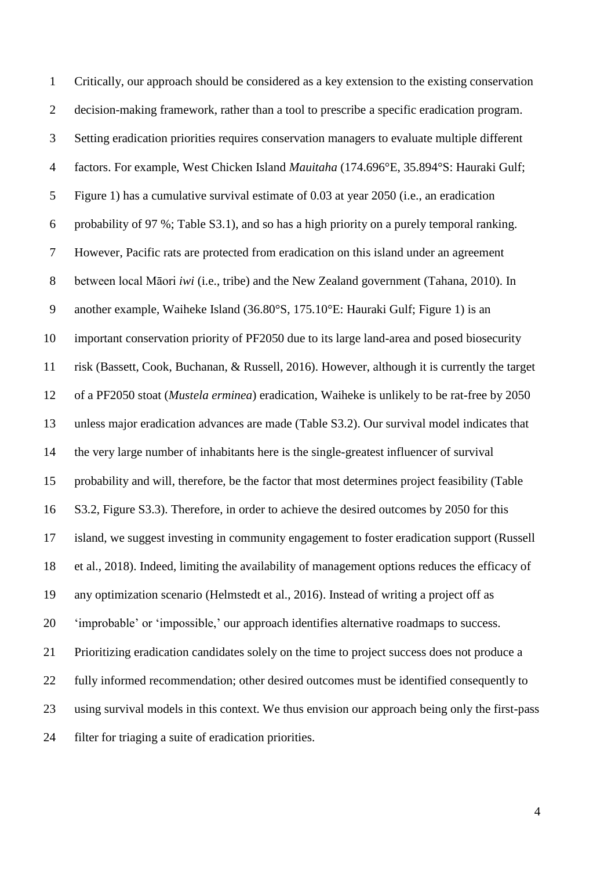Critically, our approach should be considered as a key extension to the existing conservation decision-making framework, rather than a tool to prescribe a specific eradication program. Setting eradication priorities requires conservation managers to evaluate multiple different factors. For example, West Chicken Island *Mauitaha* (174.696°E, 35.894°S: Hauraki Gulf; Figure 1) has a cumulative survival estimate of 0.03 at year 2050 (i.e., an eradication probability of 97 %; Table S3.1), and so has a high priority on a purely temporal ranking. However, Pacific rats are protected from eradication on this island under an agreement between local Māori *iwi* (i.e., tribe) and the New Zealand government (Tahana, 2010). In another example, Waiheke Island (36.80°S, 175.10°E: Hauraki Gulf; Figure 1) is an important conservation priority of PF2050 due to its large land-area and posed biosecurity risk (Bassett, Cook, Buchanan, & Russell, 2016). However, although it is currently the target of a PF2050 stoat (*Mustela erminea*) eradication, Waiheke is unlikely to be rat-free by 2050 unless major eradication advances are made (Table S3.2). Our survival model indicates that the very large number of inhabitants here is the single-greatest influencer of survival probability and will, therefore, be the factor that most determines project feasibility (Table S3.2, Figure S3.3). Therefore, in order to achieve the desired outcomes by 2050 for this island, we suggest investing in community engagement to foster eradication support (Russell et al., 2018). Indeed, limiting the availability of management options reduces the efficacy of any optimization scenario (Helmstedt et al., 2016). Instead of writing a project off as 'improbable' or 'impossible,' our approach identifies alternative roadmaps to success. Prioritizing eradication candidates solely on the time to project success does not produce a fully informed recommendation; other desired outcomes must be identified consequently to using survival models in this context. We thus envision our approach being only the first-pass filter for triaging a suite of eradication priorities.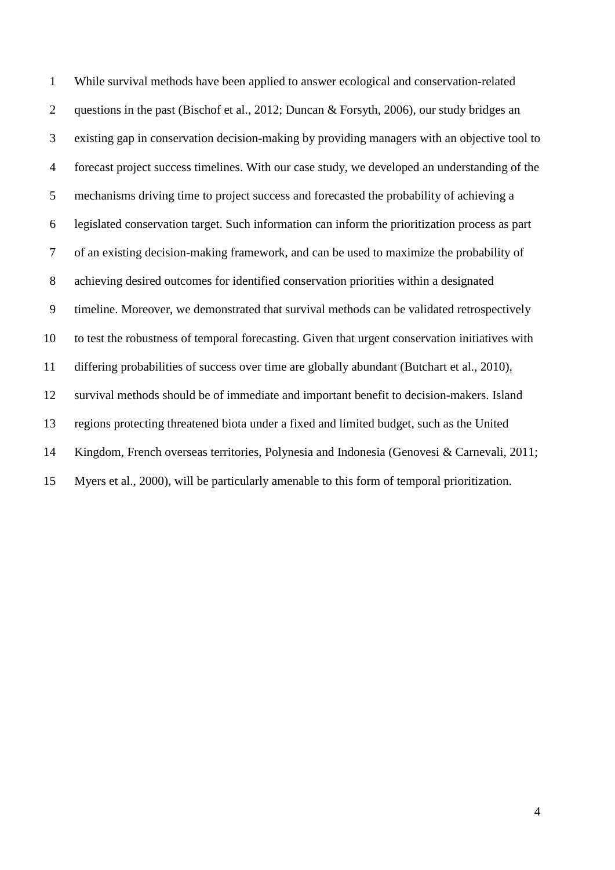While survival methods have been applied to answer ecological and conservation-related questions in the past (Bischof et al., 2012; Duncan & Forsyth, 2006), our study bridges an existing gap in conservation decision-making by providing managers with an objective tool to forecast project success timelines. With our case study, we developed an understanding of the mechanisms driving time to project success and forecasted the probability of achieving a legislated conservation target. Such information can inform the prioritization process as part of an existing decision-making framework, and can be used to maximize the probability of achieving desired outcomes for identified conservation priorities within a designated timeline. Moreover, we demonstrated that survival methods can be validated retrospectively to test the robustness of temporal forecasting. Given that urgent conservation initiatives with differing probabilities of success over time are globally abundant (Butchart et al., 2010), survival methods should be of immediate and important benefit to decision-makers. Island regions protecting threatened biota under a fixed and limited budget, such as the United Kingdom, French overseas territories, Polynesia and Indonesia (Genovesi & Carnevali, 2011; Myers et al., 2000), will be particularly amenable to this form of temporal prioritization.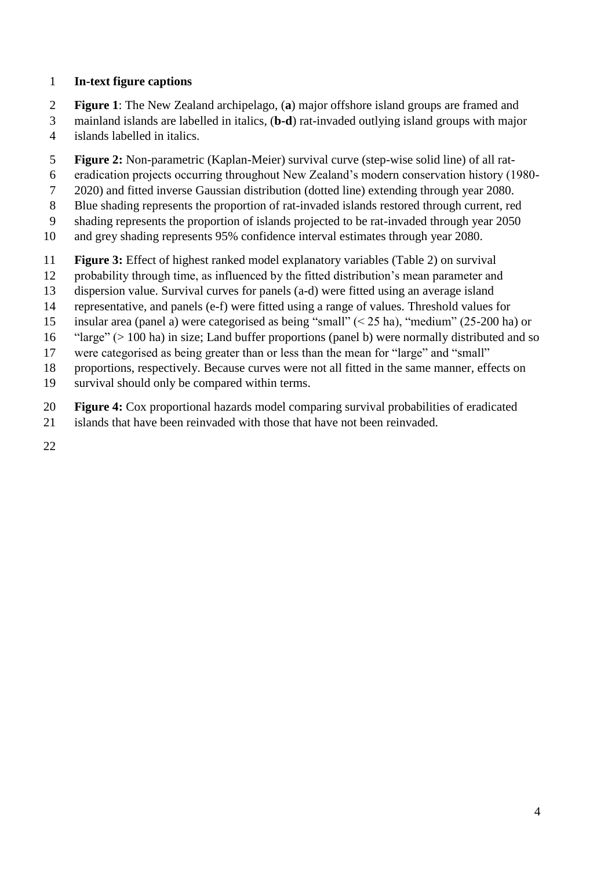### **In-text figure captions**

- **Figure 1**: The New Zealand archipelago, (**a**) major offshore island groups are framed and
- mainland islands are labelled in italics, (**b-d**) rat-invaded outlying island groups with major islands labelled in italics.
- **Figure 2:** Non-parametric (Kaplan-Meier) survival curve (step-wise solid line) of all rat-
- eradication projects occurring throughout New Zealand's modern conservation history (1980-
- 2020) and fitted inverse Gaussian distribution (dotted line) extending through year 2080.
- Blue shading represents the proportion of rat-invaded islands restored through current, red
- shading represents the proportion of islands projected to be rat-invaded through year 2050
- and grey shading represents 95% confidence interval estimates through year 2080.
- **Figure 3:** Effect of highest ranked model explanatory variables (Table 2) on survival
- probability through time, as influenced by the fitted distribution's mean parameter and
- dispersion value. Survival curves for panels (a-d) were fitted using an average island
- representative, and panels (e-f) were fitted using a range of values. Threshold values for
- insular area (panel a) were categorised as being "small" (< 25 ha), "medium" (25-200 ha) or
- "large" (> 100 ha) in size; Land buffer proportions (panel b) were normally distributed and so
- were categorised as being greater than or less than the mean for "large" and "small"
- proportions, respectively. Because curves were not all fitted in the same manner, effects on
- survival should only be compared within terms.
- **Figure 4:** Cox proportional hazards model comparing survival probabilities of eradicated
- islands that have been reinvaded with those that have not been reinvaded.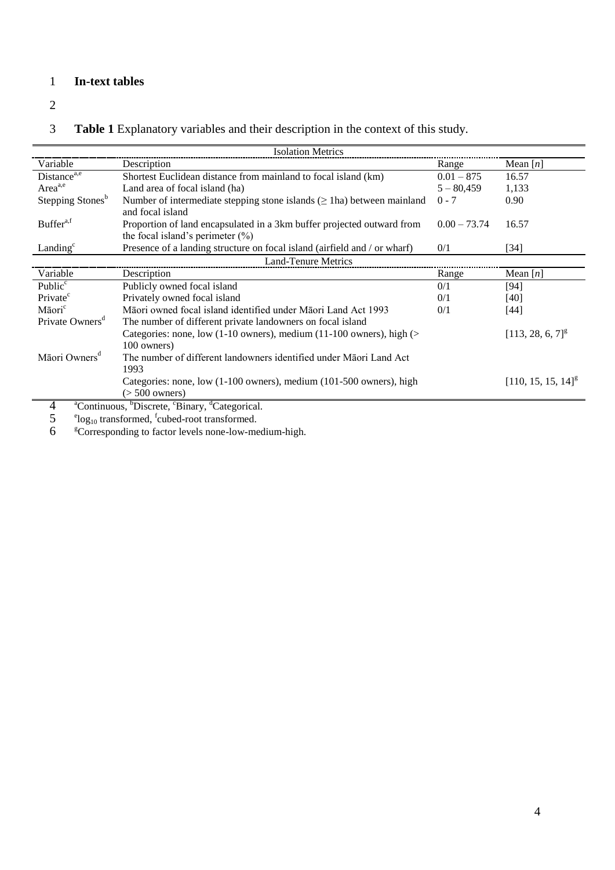## 1 **In-text tables**

2

# 3 **Table 1** Explanatory variables and their description in the context of this study.

|                              | <b>Isolation Metrics</b>                                                                       |                |                                  |
|------------------------------|------------------------------------------------------------------------------------------------|----------------|----------------------------------|
| Variable                     | Description                                                                                    | Range          | Mean $[n]$                       |
| Distance $\overline{a,e}$    | Shortest Euclidean distance from mainland to focal island (km)                                 | $0.01 - 875$   | 16.57                            |
| Area <sup>a,e</sup>          | Land area of focal island (ha)                                                                 | $5 - 80,459$   | 1,133                            |
| Stepping Stones <sup>b</sup> | Number of intermediate stepping stone islands $(\geq 1$ ha) between mainland                   | $0 - 7$        | 0.90                             |
|                              | and focal island                                                                               |                |                                  |
| Buffer <sup>a,f</sup>        | Proportion of land encapsulated in a 3km buffer projected outward from                         | $0.00 - 73.74$ | 16.57                            |
|                              | the focal island's perimeter $(\% )$                                                           |                |                                  |
| Landing $c$                  | Presence of a landing structure on focal island (airfield and / or wharf)                      | 0/1            | [34]                             |
|                              | <b>Land-Tenure Metrics</b>                                                                     |                |                                  |
| Variable                     | Description                                                                                    | Range          | Mean $[n]$                       |
| Public <sup>c</sup>          | Publicly owned focal island                                                                    | 0/1            | $[94]$                           |
| Private <sup>c</sup>         | Privately owned focal island                                                                   | 0/1            | [40]                             |
| Māori <sup>c</sup>           | Māori owned focal island identified under Māori Land Act 1993                                  | 0/1            | $[44]$                           |
| Private Owners <sup>a</sup>  | The number of different private landowners on focal island                                     |                |                                  |
|                              | Categories: none, low (1-10 owners), medium (11-100 owners), high (>                           |                | $[113, 28, 6, 7]$ <sup>g</sup>   |
|                              | 100 owners)                                                                                    |                |                                  |
| Māori Owners <sup>d</sup>    | The number of different landowners identified under Maori Land Act                             |                |                                  |
|                              | 1993                                                                                           |                |                                  |
|                              | Categories: none, low (1-100 owners), medium (101-500 owners), high                            |                | $[110, 15, 15, 14]$ <sup>g</sup> |
|                              | $($ > 500 owners)                                                                              |                |                                  |
|                              | <sup>a</sup> Continuous, <sup>b</sup> Discrete, <sup>c</sup> Binary, <sup>d</sup> Categorical. |                |                                  |

4 <sup>a</sup>Continuous, <sup>b</sup>Discrete, °Binary, <sup>d</sup>Categorical.<br>5 <sup>e</sup>log<sub>10</sub> transformed, <sup>f</sup>cubed-root transformed.<br>6 <sup>g</sup>Corresponding to factor levels none-low-medium-high.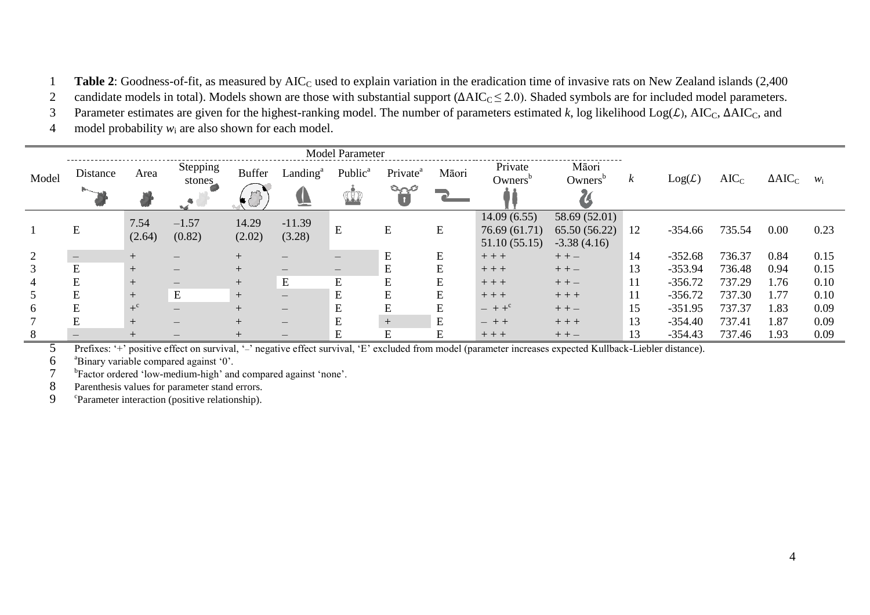1 **Table 2**: Goodness-of-fit, as measured by AIC<sub>C</sub> used to explain variation in the eradication time of invasive rats on New Zealand islands (2,400)

2 candidate models in total). Models shown are those with substantial support  $(\Delta AIC_C \le 2.0)$ . Shaded symbols are for included model parameters.

3 Parameter estimates are given for the highest-ranking model. The number of parameters estimated  $k$ , log likelihood  $Log(\mathcal{L})$ , AIC<sub>C</sub>,  $\Delta AIC_C$ , and

4 model probability *w*<sup>i</sup> are also shown for each model.

|       |           |                  |                    |               |                      | <b>Model Parameter</b>          |                               |       |                                |                              |    |           |         |                |       |
|-------|-----------|------------------|--------------------|---------------|----------------------|---------------------------------|-------------------------------|-------|--------------------------------|------------------------------|----|-----------|---------|----------------|-------|
| Model | Distance  | Area             | Stepping<br>stones | <b>Buffer</b> | Landing <sup>a</sup> | Public <sup>a</sup>             | Private <sup>a</sup><br>ومبرح | Māori | Private<br>Owners <sup>b</sup> | Māori<br>Owners <sup>b</sup> | k  | Log(L)    | $AIC_C$ | $\Delta AIC_C$ | $W_i$ |
|       |           |                  |                    |               | V                    | $\mathbb{C}$                    | $\blacksquare$                |       |                                |                              |    |           |         |                |       |
|       |           | 7.54             | $-1.57$            | 14.29         | $-11.39$             |                                 |                               |       | 14.09(6.55)                    | 58.69 (52.01)                |    |           |         |                |       |
|       | ${\bf E}$ | (2.64)           | (0.82)             | (2.02)        | (3.28)               | E                               | Е                             | E     | 76.69 (61.71)                  | 65.50 (56.22)                | 12 | $-354.66$ | 735.54  | 0.00           | 0.23  |
|       |           |                  |                    |               |                      |                                 |                               |       | 51.10(55.15)                   | $-3.38(4.16)$                |    |           |         |                |       |
| 2     |           |                  |                    | $+$           |                      | –                               | E                             | Е     | $++$                           | $++-$                        | 14 | $-352.68$ | 736.37  | 0.84           | 0.15  |
| 3     | E         | $+$              |                    | $+$           |                      | $\hspace{0.1mm}-\hspace{0.1mm}$ | E                             | E     | $++$                           | $++-$                        | 13 | $-353.94$ | 736.48  | 0.94           | 0.15  |
|       | E         | $^{+}$           |                    | $+$           | ${\bf E}$            | E                               | E                             | E     | $++$                           | $++-$                        | 11 | $-356.72$ | 737.29  | 1.76           | 0.10  |
|       | E         | $^{+}$           | E                  | $+$           |                      | E                               | E                             | E     | $++$                           | $++$                         | 11 | $-356.72$ | 737.30  | 1.77           | 0.10  |
| 6     | E         | $+$ <sup>c</sup> |                    | $+$           | $\qquad \qquad$      | E                               |                               |       | $- + +^c$                      | $++-$                        | 15 | $-351.95$ | 737.37  | 1.83           | 0.09  |
|       | E         | $+$              |                    | $+$           |                      | E                               | $+$                           | E     | $- + +$                        | $++$                         | 13 | $-354.40$ | 737.41  | 1.87           | 0.09  |
|       |           |                  |                    |               |                      | Ε                               | E                             | E     | $++$                           | $++-$                        | 13 | $-354.43$ | 737.46  | 1.93           | 0.09  |

5 Prefixes: '+' positive effect on survival, '–' negative effect survival, 'E' excluded from model (parameter increases expected Kullback-Liebler distance).

a 6 Binary variable compared against '0'.

<sup>b</sup>Factor ordered 'low-medium-high' and compared against 'none'.

8 Parenthesis values for parameter stand errors.

9 <sup>c</sup>Parameter interaction (positive relationship).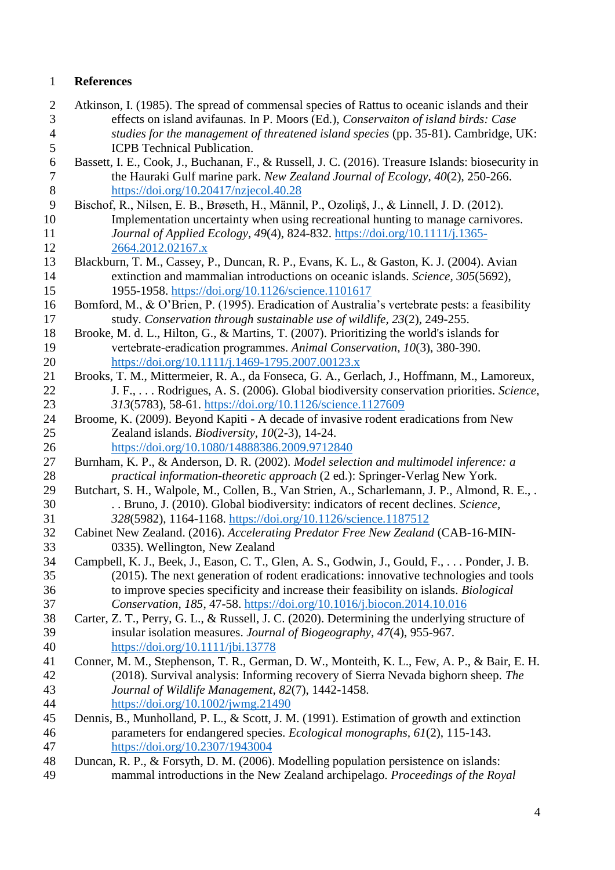### **References**

- Atkinson, I. (1985). The spread of commensal species of Rattus to oceanic islands and their effects on island avifaunas. In P. Moors (Ed.), *Conservaiton of island birds: Case studies for the management of threatened island species* (pp. 35-81). Cambridge, UK: ICPB Technical Publication.
- Bassett, I. E., Cook, J., Buchanan, F., & Russell, J. C. (2016). Treasure Islands: biosecurity in the Hauraki Gulf marine park. *New Zealand Journal of Ecology, 40*(2), 250-266. [https://doi.org/10.20417/nzjecol.40.28](about:blank)
- Bischof, R., Nilsen, E. B., Brøseth, H., Männil, P., Ozoliņš, J., & Linnell, J. D. (2012). Implementation uncertainty when using recreational hunting to manage carnivores. *Journal of Applied Ecology, 49*(4), 824-832. [https://doi.org/10.1111/j.1365-](about:blank) [2664.2012.02167.x](about:blank)
- Blackburn, T. M., Cassey, P., Duncan, R. P., Evans, K. L., & Gaston, K. J. (2004). Avian extinction and mammalian introductions on oceanic islands. *Science, 305*(5692), 1955-1958. [https://doi.org/10.1126/science.1101617](about:blank)
- Bomford, M., & O'Brien, P. (1995). Eradication of Australia's vertebrate pests: a feasibility study. *Conservation through sustainable use of wildlife, 23*(2), 249-255.
- Brooke, M. d. L., Hilton, G., & Martins, T. (2007). Prioritizing the world's islands for vertebrate‐eradication programmes. *Animal Conservation, 10*(3), 380-390. [https://doi.org/10.1111/j.1469-1795.2007.00123.x](about:blank)
- Brooks, T. M., Mittermeier, R. A., da Fonseca, G. A., Gerlach, J., Hoffmann, M., Lamoreux, J. F., . . . Rodrigues, A. S. (2006). Global biodiversity conservation priorities. *Science, 313*(5783), 58-61. [https://doi.org/10.1126/science.1127609](about:blank)
- Broome, K. (2009). Beyond Kapiti A decade of invasive rodent eradications from New Zealand islands. *Biodiversity, 10*(2-3), 14-24. [https://doi.org/10.1080/14888386.2009.9712840](about:blank)
- Burnham, K. P., & Anderson, D. R. (2002). *Model selection and multimodel inference: a practical information-theoretic approach* (2 ed.): Springer-Verlag New York.
- Butchart, S. H., Walpole, M., Collen, B., Van Strien, A., Scharlemann, J. P., Almond, R. E., . . . Bruno, J. (2010). Global biodiversity: indicators of recent declines. *Science, 328*(5982), 1164-1168. [https://doi.org/10.1126/science.1187512](about:blank)
- Cabinet New Zealand. (2016). *Accelerating Predator Free New Zealand* (CAB-16-MIN-0335). Wellington, New Zealand
- Campbell, K. J., Beek, J., Eason, C. T., Glen, A. S., Godwin, J., Gould, F., . . . Ponder, J. B. (2015). The next generation of rodent eradications: innovative technologies and tools to improve species specificity and increase their feasibility on islands. *Biological Conservation, 185*, 47-58. [https://doi.org/10.1016/j.biocon.2014.10.016](about:blank)
- Carter, Z. T., Perry, G. L., & Russell, J. C. (2020). Determining the underlying structure of insular isolation measures. *Journal of Biogeography, 47*(4), 955-967. [https://doi.org/10.1111/jbi.13778](about:blank)
- Conner, M. M., Stephenson, T. R., German, D. W., Monteith, K. L., Few, A. P., & Bair, E. H. (2018). Survival analysis: Informing recovery of Sierra Nevada bighorn sheep. *The Journal of Wildlife Management, 82*(7), 1442-1458. [https://doi.org/10.1002/jwmg.21490](about:blank)
- Dennis, B., Munholland, P. L., & Scott, J. M. (1991). Estimation of growth and extinction parameters for endangered species. *Ecological monographs, 61*(2), 115-143. [https://doi.org/10.2307/1943004](about:blank)
- Duncan, R. P., & Forsyth, D. M. (2006). Modelling population persistence on islands: mammal introductions in the New Zealand archipelago. *Proceedings of the Royal*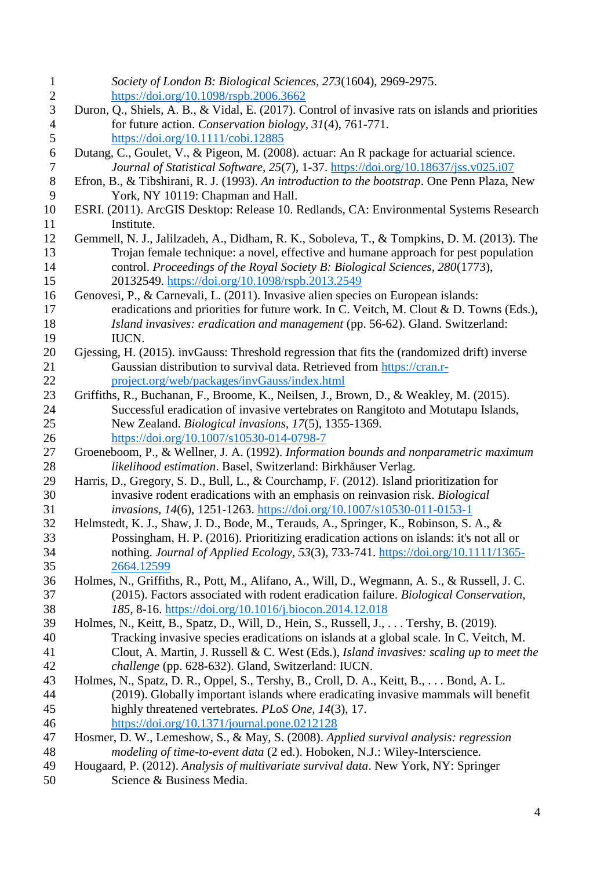| $\mathbf{1}$   | Society of London B: Biological Sciences, 273(1604), 2969-2975.                                  |
|----------------|--------------------------------------------------------------------------------------------------|
| $\overline{2}$ | https://doi.org/10.1098/rspb.2006.3662                                                           |
| 3              | Duron, Q., Shiels, A. B., & Vidal, E. (2017). Control of invasive rats on islands and priorities |
| $\overline{4}$ | for future action. Conservation biology, 31(4), 761-771.                                         |
| 5              | https://doi.org/10.1111/cobi.12885                                                               |
| 6              | Dutang, C., Goulet, V., & Pigeon, M. (2008). actuar: An R package for actuarial science.         |
| $\tau$         | Journal of Statistical Software, 25(7), 1-37. https://doi.org/10.18637/jss.v025.i07              |
| $8\,$          | Efron, B., & Tibshirani, R. J. (1993). An introduction to the bootstrap. One Penn Plaza, New     |
| 9              | York, NY 10119: Chapman and Hall.                                                                |
| 10             | ESRI. (2011). ArcGIS Desktop: Release 10. Redlands, CA: Environmental Systems Research           |
| 11             | Institute.                                                                                       |
| 12             | Gemmell, N. J., Jalilzadeh, A., Didham, R. K., Soboleva, T., & Tompkins, D. M. (2013). The       |
| 13             | Trojan female technique: a novel, effective and humane approach for pest population              |
| 14             | control. Proceedings of the Royal Society B: Biological Sciences, 280(1773),                     |
| 15             | 20132549. https://doi.org/10.1098/rspb.2013.2549                                                 |
| 16             | Genovesi, P., & Carnevali, L. (2011). Invasive alien species on European islands:                |
| 17             | eradications and priorities for future work. In C. Veitch, M. Clout & D. Towns (Eds.),           |
| 18             | Island invasives: eradication and management (pp. 56-62). Gland. Switzerland:                    |
| 19             | IUCN.                                                                                            |
| 20             | Gjessing, H. (2015). invGauss: Threshold regression that fits the (randomized drift) inverse     |
| 21             | Gaussian distribution to survival data. Retrieved from https://cran.r-                           |
| 22             | project.org/web/packages/invGauss/index.html                                                     |
| 23             | Griffiths, R., Buchanan, F., Broome, K., Neilsen, J., Brown, D., & Weakley, M. (2015).           |
| 24             | Successful eradication of invasive vertebrates on Rangitoto and Motutapu Islands,                |
| 25             | New Zealand. Biological invasions, 17(5), 1355-1369.                                             |
| 26             | https://doi.org/10.1007/s10530-014-0798-7                                                        |
| 27             | Groeneboom, P., & Wellner, J. A. (1992). Information bounds and nonparametric maximum            |
| 28             | likelihood estimation. Basel, Switzerland: Birkhăuser Verlag.                                    |
| 29             | Harris, D., Gregory, S. D., Bull, L., & Courchamp, F. (2012). Island prioritization for          |
| 30             | invasive rodent eradications with an emphasis on reinvasion risk. Biological                     |
| 31             | invasions, 14(6), 1251-1263. https://doi.org/10.1007/s10530-011-0153-1                           |
| 32             | Helmstedt, K. J., Shaw, J. D., Bode, M., Terauds, A., Springer, K., Robinson, S. A., &           |
| 33             | Possingham, H. P. (2016). Prioritizing eradication actions on islands: it's not all or           |
| 34             | nothing. Journal of Applied Ecology, 53(3), 733-741. https://doi.org/10.1111/1365-               |
| 35             | 2664.12599                                                                                       |
| 36             | Holmes, N., Griffiths, R., Pott, M., Alifano, A., Will, D., Wegmann, A. S., & Russell, J. C.     |
| 37             | (2015). Factors associated with rodent eradication failure. Biological Conservation,             |
| 38             | 185, 8-16. https://doi.org/10.1016/j.biocon.2014.12.018                                          |
| 39             | Holmes, N., Keitt, B., Spatz, D., Will, D., Hein, S., Russell, J., Tershy, B. (2019).            |
| 40             | Tracking invasive species eradications on islands at a global scale. In C. Veitch, M.            |
| 41             | Clout, A. Martin, J. Russell & C. West (Eds.), Island invasives: scaling up to meet the          |
| 42             | challenge (pp. 628-632). Gland, Switzerland: IUCN.                                               |
| 43             | Holmes, N., Spatz, D. R., Oppel, S., Tershy, B., Croll, D. A., Keitt, B., Bond, A. L.            |
| 44             | (2019). Globally important islands where eradicating invasive mammals will benefit               |
| 45             | highly threatened vertebrates. PLoS One, 14(3), 17.                                              |
| 46             | https://doi.org/10.1371/journal.pone.0212128                                                     |
| 47             | Hosmer, D. W., Lemeshow, S., & May, S. (2008). Applied survival analysis: regression             |
| 48             | modeling of time-to-event data (2 ed.). Hoboken, N.J.: Wiley-Interscience.                       |
| 49             | Hougaard, P. (2012). Analysis of multivariate survival data. New York, NY: Springer              |
| 50             | Science & Business Media.                                                                        |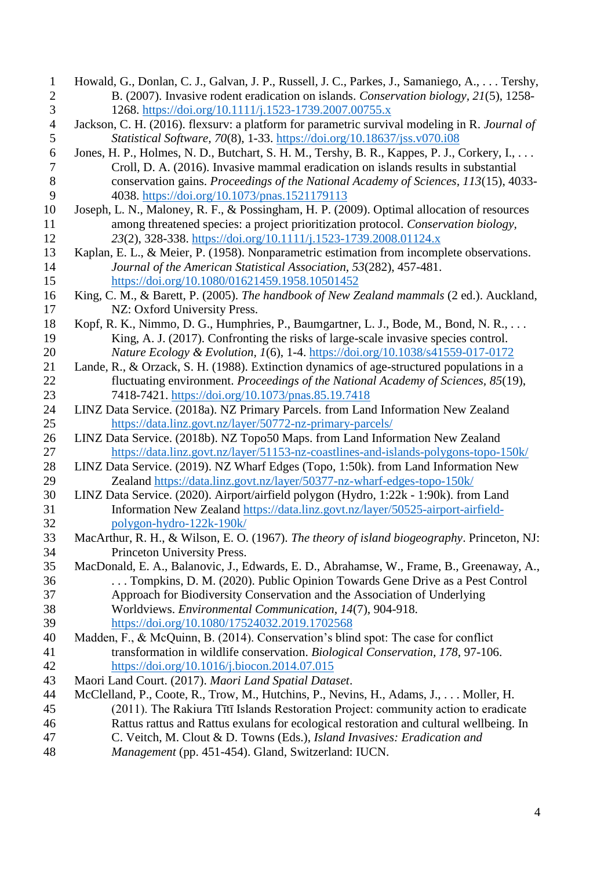| $\mathbf 1$    | Howald, G., Donlan, C. J., Galvan, J. P., Russell, J. C., Parkes, J., Samaniego, A., Tershy,                                                                             |
|----------------|--------------------------------------------------------------------------------------------------------------------------------------------------------------------------|
| $\overline{2}$ | B. (2007). Invasive rodent eradication on islands. Conservation biology, 21(5), 1258-                                                                                    |
| 3              | 1268. https://doi.org/10.1111/j.1523-1739.2007.00755.x                                                                                                                   |
| $\overline{4}$ | Jackson, C. H. (2016). flexsurv: a platform for parametric survival modeling in R. Journal of                                                                            |
| 5              | Statistical Software, 70(8), 1-33. https://doi.org/10.18637/jss.v070.i08                                                                                                 |
| 6              | Jones, H. P., Holmes, N. D., Butchart, S. H. M., Tershy, B. R., Kappes, P. J., Corkery, I.,                                                                              |
| 7              | Croll, D. A. (2016). Invasive mammal eradication on islands results in substantial                                                                                       |
| 8              | conservation gains. Proceedings of the National Academy of Sciences, 113(15), 4033-                                                                                      |
| 9              | 4038. https://doi.org/10.1073/pnas.1521179113                                                                                                                            |
| 10             | Joseph, L. N., Maloney, R. F., & Possingham, H. P. (2009). Optimal allocation of resources                                                                               |
| 11             | among threatened species: a project prioritization protocol. Conservation biology,                                                                                       |
| 12             | 23(2), 328-338. https://doi.org/10.1111/j.1523-1739.2008.01124.x                                                                                                         |
| 13             | Kaplan, E. L., & Meier, P. (1958). Nonparametric estimation from incomplete observations.                                                                                |
| 14             | Journal of the American Statistical Association, 53(282), 457-481.                                                                                                       |
| 15             | https://doi.org/10.1080/01621459.1958.10501452                                                                                                                           |
| 16             | King, C. M., & Barett, P. (2005). The handbook of New Zealand mammals (2 ed.). Auckland,                                                                                 |
| 17             | NZ: Oxford University Press.                                                                                                                                             |
| 18             | Kopf, R. K., Nimmo, D. G., Humphries, P., Baumgartner, L. J., Bode, M., Bond, N. R.,                                                                                     |
| 19             | King, A. J. (2017). Confronting the risks of large-scale invasive species control.                                                                                       |
| 20             | Nature Ecology & Evolution, 1(6), 1-4. https://doi.org/10.1038/s41559-017-0172                                                                                           |
| 21             | Lande, R., & Orzack, S. H. (1988). Extinction dynamics of age-structured populations in a                                                                                |
| 22             | fluctuating environment. Proceedings of the National Academy of Sciences, 85(19),                                                                                        |
| 23             | 7418-7421. https://doi.org/10.1073/pnas.85.19.7418                                                                                                                       |
| 24             | LINZ Data Service. (2018a). NZ Primary Parcels. from Land Information New Zealand                                                                                        |
| 25             | https://data.linz.govt.nz/layer/50772-nz-primary-parcels/                                                                                                                |
| 26             | LINZ Data Service. (2018b). NZ Topo50 Maps. from Land Information New Zealand                                                                                            |
| 27             | https://data.linz.govt.nz/layer/51153-nz-coastlines-and-islands-polygons-topo-150k/                                                                                      |
| 28             | LINZ Data Service. (2019). NZ Wharf Edges (Topo, 1:50k). from Land Information New                                                                                       |
| 29             | Zealand https://data.linz.govt.nz/layer/50377-nz-wharf-edges-topo-150k/                                                                                                  |
| 30             | LINZ Data Service. (2020). Airport/airfield polygon (Hydro, 1:22k - 1:90k). from Land                                                                                    |
| 31             | Information New Zealand https://data.linz.govt.nz/layer/50525-airport-airfield-                                                                                          |
| 32             | polygon-hydro-122k-190k/                                                                                                                                                 |
| 33             | MacArthur, R. H., & Wilson, E. O. (1967). The theory of island biogeography. Princeton, NJ:                                                                              |
| 34             | Princeton University Press.                                                                                                                                              |
| 35<br>36       | MacDonald, E. A., Balanovic, J., Edwards, E. D., Abrahamse, W., Frame, B., Greenaway, A.,<br>Tompkins, D. M. (2020). Public Opinion Towards Gene Drive as a Pest Control |
| 37             | Approach for Biodiversity Conservation and the Association of Underlying                                                                                                 |
| 38             | Worldviews. Environmental Communication, 14(7), 904-918.                                                                                                                 |
| 39             | https://doi.org/10.1080/17524032.2019.1702568                                                                                                                            |
| 40             | Madden, F., & McQuinn, B. (2014). Conservation's blind spot: The case for conflict                                                                                       |
| 41             | transformation in wildlife conservation. Biological Conservation, 178, 97-106.                                                                                           |
| 42             | https://doi.org/10.1016/j.biocon.2014.07.015                                                                                                                             |
| 43             | Maori Land Court. (2017). Maori Land Spatial Dataset.                                                                                                                    |
| 44             | McClelland, P., Coote, R., Trow, M., Hutchins, P., Nevins, H., Adams, J.,  Moller, H.                                                                                    |
| 45             | (2011). The Rakiura Titi Islands Restoration Project: community action to eradicate                                                                                      |
| 46             | Rattus rattus and Rattus exulans for ecological restoration and cultural wellbeing. In                                                                                   |
| 47             | C. Veitch, M. Clout & D. Towns (Eds.), Island Invasives: Eradication and                                                                                                 |
| 48             | Management (pp. 451-454). Gland, Switzerland: IUCN.                                                                                                                      |
|                |                                                                                                                                                                          |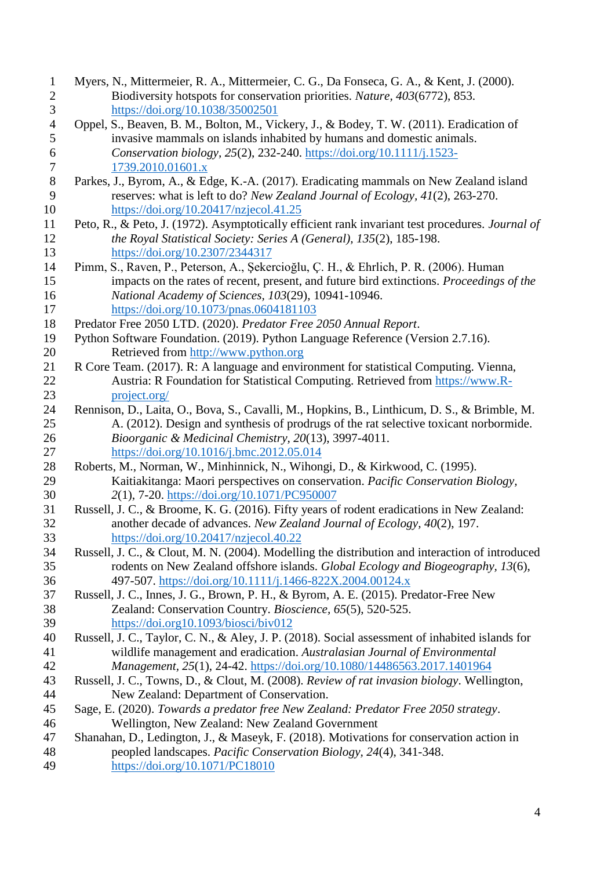| $\mathbf{1}$     | Myers, N., Mittermeier, R. A., Mittermeier, C. G., Da Fonseca, G. A., & Kent, J. (2000).         |
|------------------|--------------------------------------------------------------------------------------------------|
| $\overline{c}$   | Biodiversity hotspots for conservation priorities. Nature, 403(6772), 853.                       |
| $\mathfrak{Z}$   | https://doi.org/10.1038/35002501                                                                 |
| $\overline{4}$   | Oppel, S., Beaven, B. M., Bolton, M., Vickery, J., & Bodey, T. W. (2011). Eradication of         |
| 5                | invasive mammals on islands inhabited by humans and domestic animals.                            |
| 6                | Conservation biology, 25(2), 232-240. https://doi.org/10.1111/j.1523-                            |
| $\boldsymbol{7}$ | 1739.2010.01601.x                                                                                |
| $8\phantom{1}$   | Parkes, J., Byrom, A., & Edge, K.-A. (2017). Eradicating mammals on New Zealand island           |
| 9                | reserves: what is left to do? New Zealand Journal of Ecology, 41(2), 263-270.                    |
| 10               | https://doi.org/10.20417/nzjecol.41.25                                                           |
| 11               | Peto, R., & Peto, J. (1972). Asymptotically efficient rank invariant test procedures. Journal of |
| 12               | the Royal Statistical Society: Series A (General), 135(2), 185-198.                              |
| 13               | https://doi.org/10.2307/2344317                                                                  |
| 14               | Pimm, S., Raven, P., Peterson, A., Şekercioğlu, Ç. H., & Ehrlich, P. R. (2006). Human            |
| 15               | impacts on the rates of recent, present, and future bird extinctions. Proceedings of the         |
| 16               | National Academy of Sciences, 103(29), 10941-10946.                                              |
| 17               | https://doi.org/10.1073/pnas.0604181103                                                          |
| 18               | Predator Free 2050 LTD. (2020). Predator Free 2050 Annual Report.                                |
| 19               | Python Software Foundation. (2019). Python Language Reference (Version 2.7.16).                  |
| 20               | Retrieved from http://www.python.org                                                             |
| 21               | R Core Team. (2017). R: A language and environment for statistical Computing. Vienna,            |
| 22               | Austria: R Foundation for Statistical Computing. Retrieved from https://www.R-                   |
| 23               | project.org/                                                                                     |
| 24               | Rennison, D., Laita, O., Bova, S., Cavalli, M., Hopkins, B., Linthicum, D. S., & Brimble, M.     |
| 25               | A. (2012). Design and synthesis of prodrugs of the rat selective toxicant norbormide.            |
| 26               | Bioorganic & Medicinal Chemistry, 20(13), 3997-4011.                                             |
| 27               | https://doi.org/10.1016/j.bmc.2012.05.014                                                        |
| 28               | Roberts, M., Norman, W., Minhinnick, N., Wihongi, D., & Kirkwood, C. (1995).                     |
| 29               | Kaitiakitanga: Maori perspectives on conservation. Pacific Conservation Biology,                 |
| 30               | 2(1), 7-20. https://doi.org/10.1071/PC950007                                                     |
| 31               | Russell, J. C., & Broome, K. G. (2016). Fifty years of rodent eradications in New Zealand:       |
| 32               | another decade of advances. New Zealand Journal of Ecology, 40(2), 197.                          |
| 33               | $\frac{https://doi.org/10.20417/nzjecol.40.22}{https://doi.org/10.20417/nzjecol.40.22}$          |
| 34               | Russell, J. C., & Clout, M. N. (2004). Modelling the distribution and interaction of introduced  |
| 35               | rodents on New Zealand offshore islands. Global Ecology and Biogeography, 13(6),                 |
| 36               | 497-507. https://doi.org/10.1111/j.1466-822X.2004.00124.x                                        |
| 37               | Russell, J. C., Innes, J. G., Brown, P. H., & Byrom, A. E. (2015). Predator-Free New             |
| 38               | Zealand: Conservation Country. Bioscience, 65(5), 520-525.                                       |
| 39               | https://doi.org10.1093/biosci/biv012                                                             |
| 40               | Russell, J. C., Taylor, C. N., & Aley, J. P. (2018). Social assessment of inhabited islands for  |
| 41               | wildlife management and eradication. Australasian Journal of Environmental                       |
| 42               | Management, 25(1), 24-42. https://doi.org/10.1080/14486563.2017.1401964                          |
| 43               | Russell, J. C., Towns, D., & Clout, M. (2008). Review of rat invasion biology. Wellington,       |
| 44               | New Zealand: Department of Conservation.                                                         |
| 45               | Sage, E. (2020). Towards a predator free New Zealand: Predator Free 2050 strategy.               |
| 46               | Wellington, New Zealand: New Zealand Government                                                  |
| 47               | Shanahan, D., Ledington, J., & Maseyk, F. (2018). Motivations for conservation action in         |
| 48               | peopled landscapes. Pacific Conservation Biology, 24(4), 341-348.                                |
| 49               | https://doi.org/10.1071/PC18010                                                                  |
|                  |                                                                                                  |